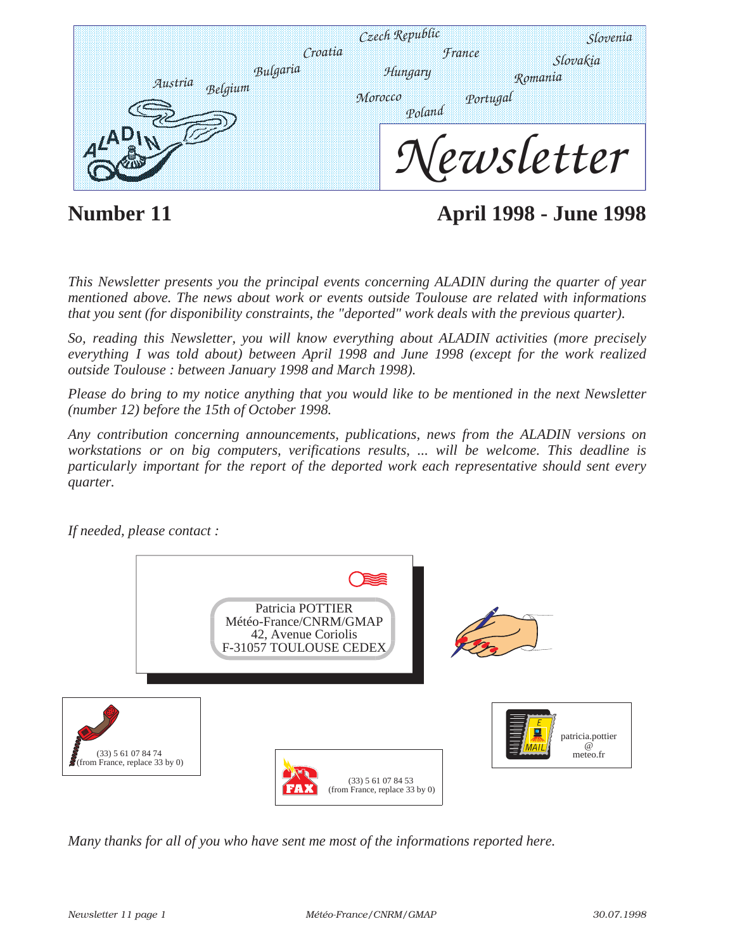|                                | Czech Republic<br>Croatia    | <i><b>France</b></i> | Slovenia<br>Slovakia |
|--------------------------------|------------------------------|----------------------|----------------------|
| Bulgaria<br>Austria<br>Belgium | Hungary<br>Morocco<br>Poland | Portugal             | Romania              |
|                                |                              |                      | Vewsletter           |

**Number 11 April 1998 - June 1998**

*This Newsletter presents you the principal events concerning ALADIN during the quarter of year mentioned above. The news about work or events outside Toulouse are related with informations that you sent (for disponibility constraints, the "deported" work deals with the previous quarter).* 

*So, reading this Newsletter, you will know everything about ALADIN activities (more precisely everything I was told about) between April 1998 and June 1998 (except for the work realized outside Toulouse : between January 1998 and March 1998).*

*Please do bring to my notice anything that you would like to be mentioned in the next Newsletter (number 12) before the 15th of October 1998.*

*Any contribution concerning announcements, publications, news from the ALADIN versions on workstations or on big computers, verifications results, ... will be welcome. This deadline is particularly important for the report of the deported work each representative should sent every quarter.* 



*If needed, please contact :*

*Many thanks for all of you who have sent me most of the informations reported here.*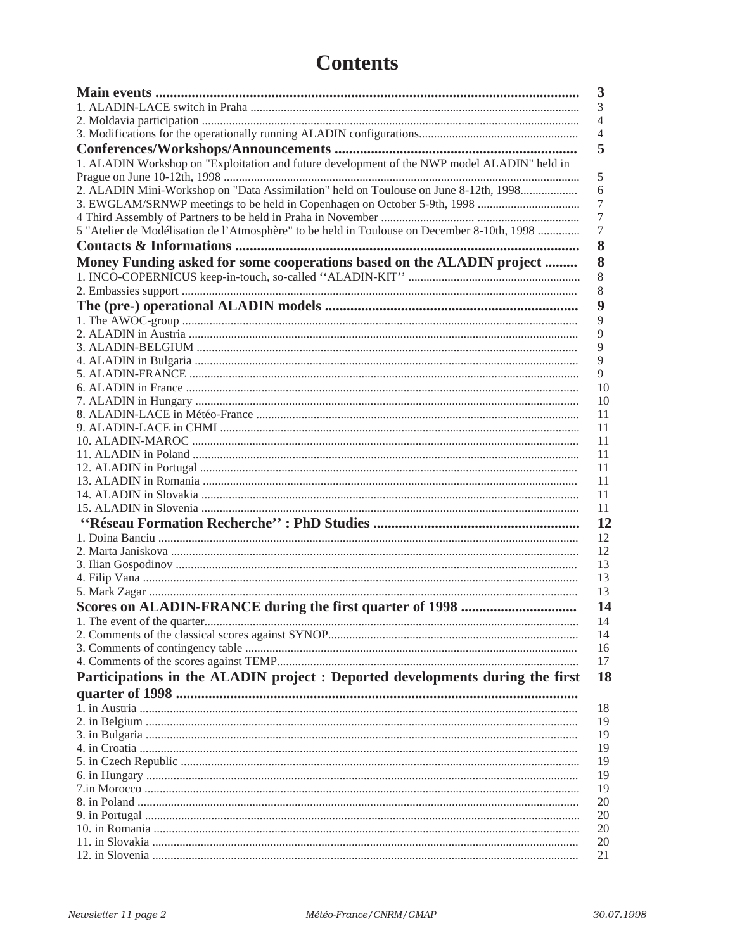# **Contents**

| $\overline{\mathbf{3}}$                                                                          |
|--------------------------------------------------------------------------------------------------|
| 3                                                                                                |
| $\overline{4}$                                                                                   |
| $\overline{4}$                                                                                   |
| 5                                                                                                |
| 1. ALADIN Workshop on "Exploitation and future development of the NWP model ALADIN" held in      |
| 5                                                                                                |
| 2. ALADIN Mini-Workshop on "Data Assimilation" held on Toulouse on June 8-12th, 1998<br>6        |
| 7                                                                                                |
| 7                                                                                                |
| 5 "Atelier de Modélisation de l'Atmosphère" to be held in Toulouse on December 8-10th, 1998<br>7 |
| 8                                                                                                |
| Money Funding asked for some cooperations based on the ALADIN project<br>8                       |
|                                                                                                  |
| 8                                                                                                |
| 8                                                                                                |
| 9                                                                                                |
| 9                                                                                                |
| 9                                                                                                |
| 9                                                                                                |
| 9                                                                                                |
| 9                                                                                                |
| 10                                                                                               |
| 10                                                                                               |
| 11                                                                                               |
| 11                                                                                               |
| 11                                                                                               |
| 11                                                                                               |
| 11                                                                                               |
| 11                                                                                               |
| 11                                                                                               |
| 11                                                                                               |
| 12                                                                                               |
| 12                                                                                               |
| 12                                                                                               |
| 13                                                                                               |
| 13                                                                                               |
| 13                                                                                               |
| 14                                                                                               |
| -14                                                                                              |
| 14                                                                                               |
| 16                                                                                               |
| 17                                                                                               |
| Participations in the ALADIN project : Deported developments during the first<br><b>18</b>       |
|                                                                                                  |
| 18                                                                                               |
| 19                                                                                               |
| 19                                                                                               |
| 19                                                                                               |
| 19                                                                                               |
| 19                                                                                               |
| 19                                                                                               |
| 20                                                                                               |
| 20                                                                                               |
| 20                                                                                               |
| 20                                                                                               |
| 21                                                                                               |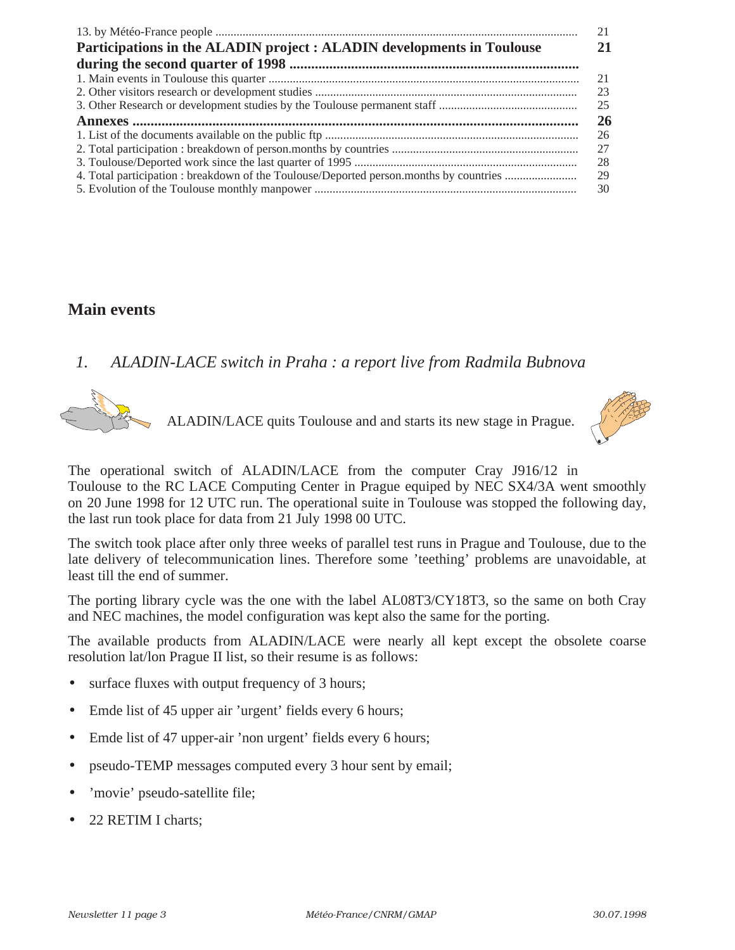|                                                                                        | 21 |
|----------------------------------------------------------------------------------------|----|
| Participations in the ALADIN project : ALADIN developments in Toulouse                 | 21 |
|                                                                                        |    |
|                                                                                        | 21 |
|                                                                                        | 23 |
|                                                                                        | 25 |
|                                                                                        | 26 |
|                                                                                        | 26 |
|                                                                                        | 27 |
|                                                                                        | 28 |
| 4. Total participation : breakdown of the Toulouse/Deported person.months by countries | 29 |
|                                                                                        | 30 |

### **Main events**

*1. ALADIN-LACE switch in Praha : a report live from Radmila Bubnova*



ALADIN/LACE quits Toulouse and and starts its new stage in Prague.



The operational switch of ALADIN/LACE from the computer Cray J916/12 in Toulouse to the RC LACE Computing Center in Prague equiped by NEC SX4/3A went smoothly on 20 June 1998 for 12 UTC run. The operational suite in Toulouse was stopped the following day, the last run took place for data from 21 July 1998 00 UTC.

The switch took place after only three weeks of parallel test runs in Prague and Toulouse, due to the late delivery of telecommunication lines. Therefore some 'teething' problems are unavoidable, at least till the end of summer.

The porting library cycle was the one with the label AL08T3/CY18T3, so the same on both Cray and NEC machines, the model configuration was kept also the same for the porting.

The available products from ALADIN/LACE were nearly all kept except the obsolete coarse resolution lat/lon Prague II list, so their resume is as follows:

- surface fluxes with output frequency of 3 hours;
- Emde list of 45 upper air 'urgent' fields every 6 hours;
- Emde list of 47 upper-air 'non urgent' fields every 6 hours;
- pseudo-TEMP messages computed every 3 hour sent by email;
- 'movie' pseudo-satellite file;
- 22 RETIM I charts;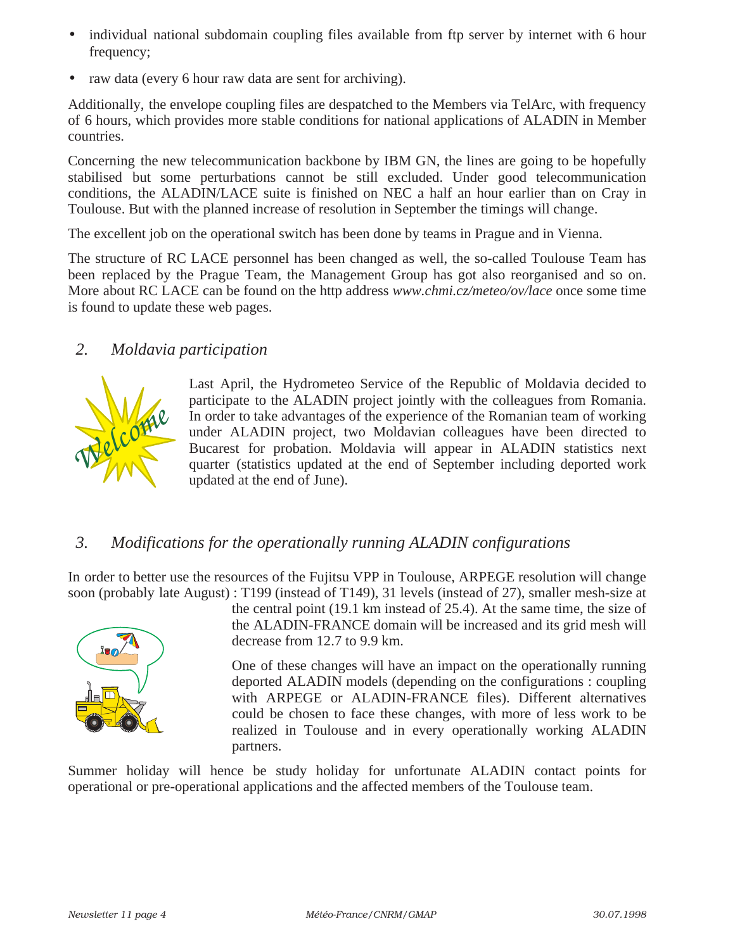- individual national subdomain coupling files available from ftp server by internet with 6 hour frequency;
- raw data (every 6 hour raw data are sent for archiving).

Additionally, the envelope coupling files are despatched to the Members via TelArc, with frequency of 6 hours, which provides more stable conditions for national applications of ALADIN in Member countries.

Concerning the new telecommunication backbone by IBM GN, the lines are going to be hopefully stabilised but some perturbations cannot be still excluded. Under good telecommunication conditions, the ALADIN/LACE suite is finished on NEC a half an hour earlier than on Cray in Toulouse. But with the planned increase of resolution in September the timings will change.

The excellent job on the operational switch has been done by teams in Prague and in Vienna.

The structure of RC LACE personnel has been changed as well, the so-called Toulouse Team has been replaced by the Prague Team, the Management Group has got also reorganised and so on. More about RC LACE can be found on the http address *www.chmi.cz/meteo/ov/lace* once some time is found to update these web pages.

### *2. Moldavia participation*



Last April, the Hydrometeo Service of the Republic of Moldavia decided to participate to the ALADIN project jointly with the colleagues from Romania. In order to take advantages of the experience of the Romanian team of working under ALADIN project, two Moldavian colleagues have been directed to Bucarest for probation. Moldavia will appear in ALADIN statistics next quarter (statistics updated at the end of September including deported work updated at the end of June).

### *3. Modifications for the operationally running ALADIN configurations*

In order to better use the resources of the Fujitsu VPP in Toulouse, ARPEGE resolution will change soon (probably late August) : T199 (instead of T149), 31 levels (instead of 27), smaller mesh-size at



the central point (19.1 km instead of 25.4). At the same time, the size of the ALADIN-FRANCE domain will be increased and its grid mesh will decrease from 12.7 to 9.9 km.

One of these changes will have an impact on the operationally running deported ALADIN models (depending on the configurations : coupling with ARPEGE or ALADIN-FRANCE files). Different alternatives could be chosen to face these changes, with more of less work to be realized in Toulouse and in every operationally working ALADIN partners.

Summer holiday will hence be study holiday for unfortunate ALADIN contact points for operational or pre-operational applications and the affected members of the Toulouse team.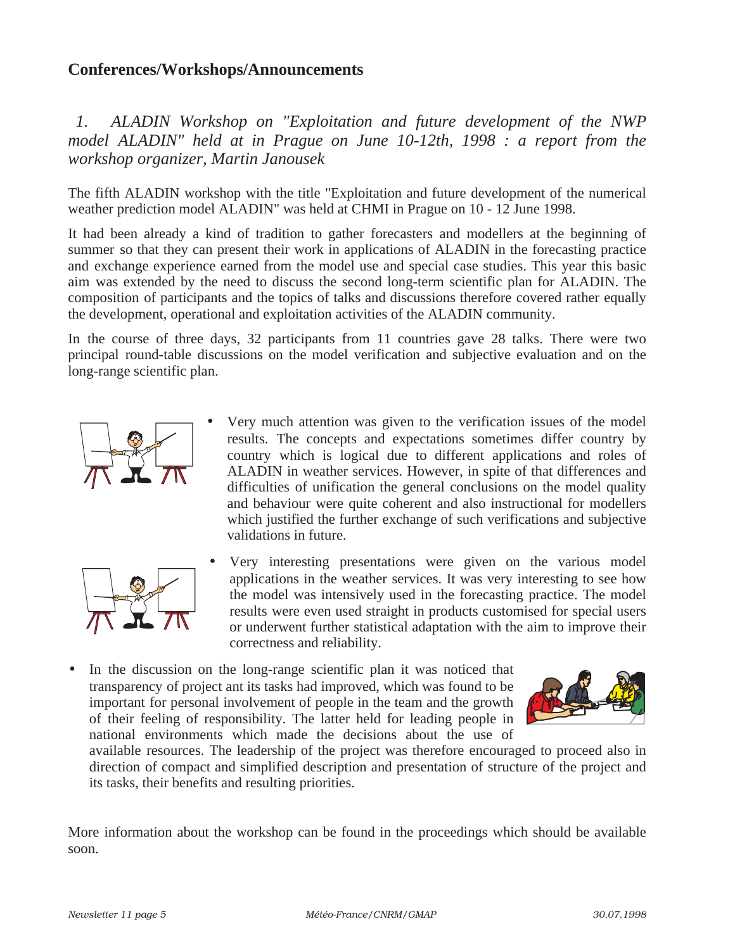### **Conferences/Workshops/Announcements**

*1. ALADIN Workshop on "Exploitation and future development of the NWP model ALADIN" held at in Prague on June 10-12th, 1998 : a report from the workshop organizer, Martin Janousek*

The fifth ALADIN workshop with the title "Exploitation and future development of the numerical weather prediction model ALADIN" was held at CHMI in Prague on 10 - 12 June 1998.

It had been already a kind of tradition to gather forecasters and modellers at the beginning of summer so that they can present their work in applications of ALADIN in the forecasting practice and exchange experience earned from the model use and special case studies. This year this basic aim was extended by the need to discuss the second long-term scientific plan for ALADIN. The composition of participants and the topics of talks and discussions therefore covered rather equally the development, operational and exploitation activities of the ALADIN community.

In the course of three days, 32 participants from 11 countries gave 28 talks. There were two principal round-table discussions on the model verification and subjective evaluation and on the long-range scientific plan.



• Very much attention was given to the verification issues of the model results. The concepts and expectations sometimes differ country by country which is logical due to different applications and roles of ALADIN in weather services. However, in spite of that differences and difficulties of unification the general conclusions on the model quality and behaviour were quite coherent and also instructional for modellers which justified the further exchange of such verifications and subjective validations in future.



- Very interesting presentations were given on the various model applications in the weather services. It was very interesting to see how the model was intensively used in the forecasting practice. The model results were even used straight in products customised for special users or underwent further statistical adaptation with the aim to improve their correctness and reliability.
- In the discussion on the long-range scientific plan it was noticed that transparency of project ant its tasks had improved, which was found to be important for personal involvement of people in the team and the growth of their feeling of responsibility. The latter held for leading people in national environments which made the decisions about the use of



available resources. The leadership of the project was therefore encouraged to proceed also in direction of compact and simplified description and presentation of structure of the project and its tasks, their benefits and resulting priorities.

More information about the workshop can be found in the proceedings which should be available soon.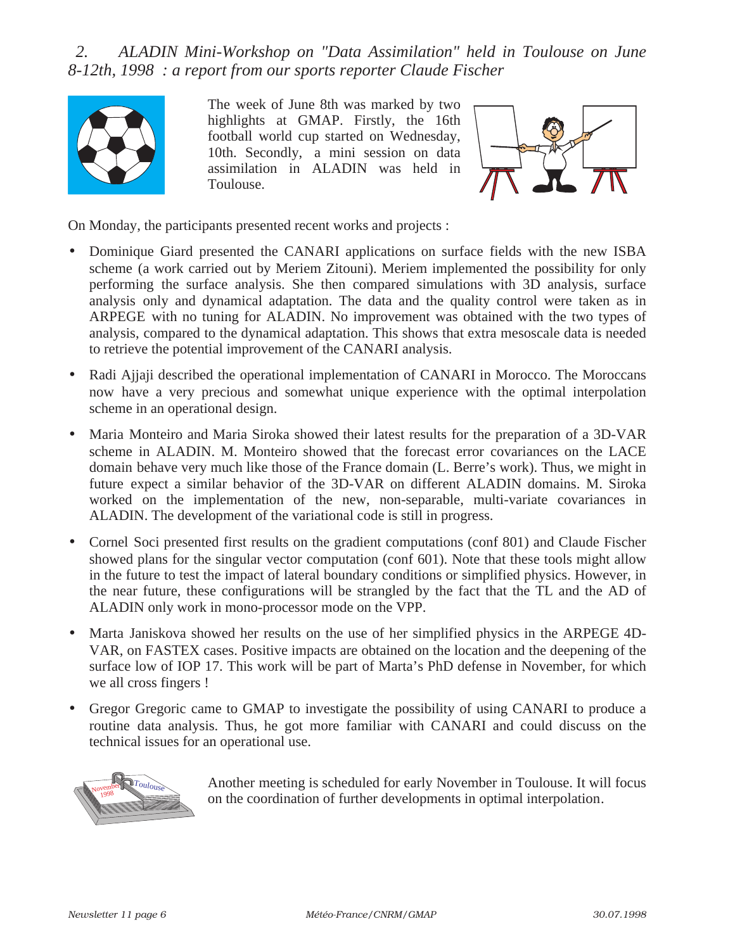*2. ALADIN Mini-Workshop on "Data Assimilation" held in Toulouse on June 8-12th, 1998 : a report from our sports reporter Claude Fischer*



The week of June 8th was marked by two highlights at GMAP. Firstly, the 16th football world cup started on Wednesday, 10th. Secondly, a mini session on data assimilation in ALADIN was held in Toulouse.



On Monday, the participants presented recent works and projects :

- Dominique Giard presented the CANARI applications on surface fields with the new ISBA scheme (a work carried out by Meriem Zitouni). Meriem implemented the possibility for only performing the surface analysis. She then compared simulations with 3D analysis, surface analysis only and dynamical adaptation. The data and the quality control were taken as in ARPEGE with no tuning for ALADIN. No improvement was obtained with the two types of analysis, compared to the dynamical adaptation. This shows that extra mesoscale data is needed to retrieve the potential improvement of the CANARI analysis.
- Radi Ajjaji described the operational implementation of CANARI in Morocco. The Moroccans now have a very precious and somewhat unique experience with the optimal interpolation scheme in an operational design.
- Maria Monteiro and Maria Siroka showed their latest results for the preparation of a 3D-VAR scheme in ALADIN. M. Monteiro showed that the forecast error covariances on the LACE domain behave very much like those of the France domain (L. Berre's work). Thus, we might in future expect a similar behavior of the 3D-VAR on different ALADIN domains. M. Siroka worked on the implementation of the new, non-separable, multi-variate covariances in ALADIN. The development of the variational code is still in progress.
- Cornel Soci presented first results on the gradient computations (conf 801) and Claude Fischer showed plans for the singular vector computation (conf 601). Note that these tools might allow in the future to test the impact of lateral boundary conditions or simplified physics. However, in the near future, these configurations will be strangled by the fact that the TL and the AD of ALADIN only work in mono-processor mode on the VPP.
- Marta Janiskova showed her results on the use of her simplified physics in the ARPEGE 4D-VAR, on FASTEX cases. Positive impacts are obtained on the location and the deepening of the surface low of IOP 17. This work will be part of Marta's PhD defense in November, for which we all cross fingers !
- Gregor Gregoric came to GMAP to investigate the possibility of using CANARI to produce a routine data analysis. Thus, he got more familiar with CANARI and could discuss on the technical issues for an operational use.



Another meeting is scheduled for early November in Toulouse. It will focus on the coordination of further developments in optimal interpolation.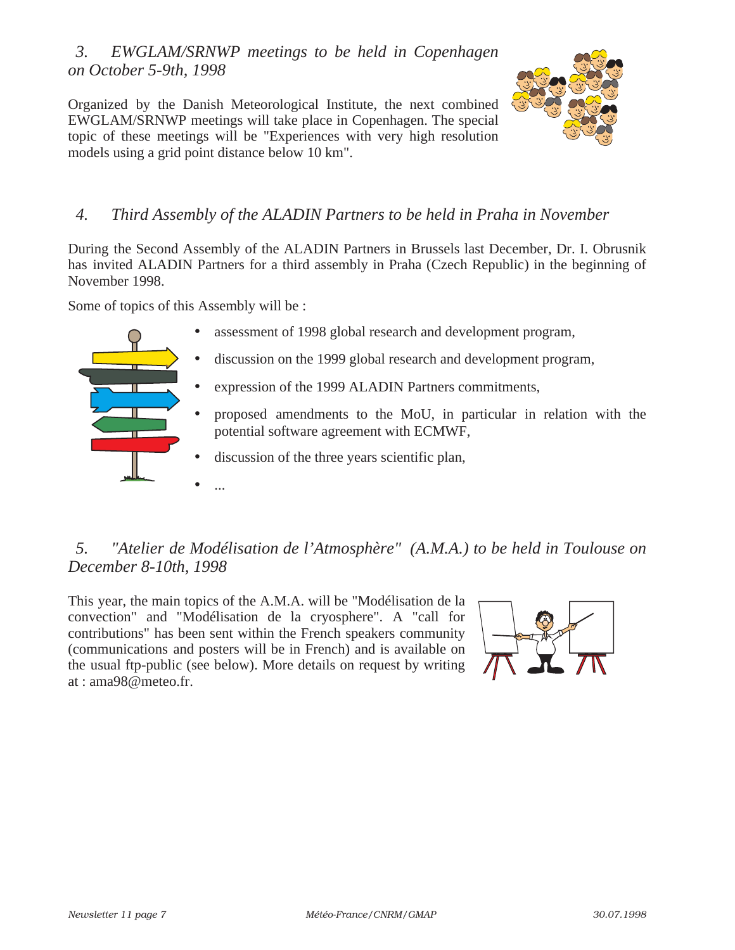### *3. EWGLAM/SRNWP meetings to be held in Copenhagen on October 5-9th, 1998*

Organized by the Danish Meteorological Institute, the next combined EWGLAM/SRNWP meetings will take place in Copenhagen. The special topic of these meetings will be "Experiences with very high resolution models using a grid point distance below 10 km".



### *4. Third Assembly of the ALADIN Partners to be held in Praha in November*

During the Second Assembly of the ALADIN Partners in Brussels last December, Dr. I. Obrusnik has invited ALADIN Partners for a third assembly in Praha (Czech Republic) in the beginning of November 1998.

Some of topics of this Assembly will be :

- assessment of 1998 global research and development program,
- discussion on the 1999 global research and development program,
- expression of the 1999 ALADIN Partners commitments,
- proposed amendments to the MoU, in particular in relation with the potential software agreement with ECMWF,
- discussion of the three years scientific plan,
- ...

# *5. "Atelier de Modélisation de l'Atmosphère" (A.M.A.) to be held in Toulouse on December 8-10th, 1998*

This year, the main topics of the A.M.A. will be "Modélisation de la convection" and "Modélisation de la cryosphere". A "call for contributions" has been sent within the French speakers community (communications and posters will be in French) and is available on the usual ftp-public (see below). More details on request by writing at : ama98@meteo.fr.

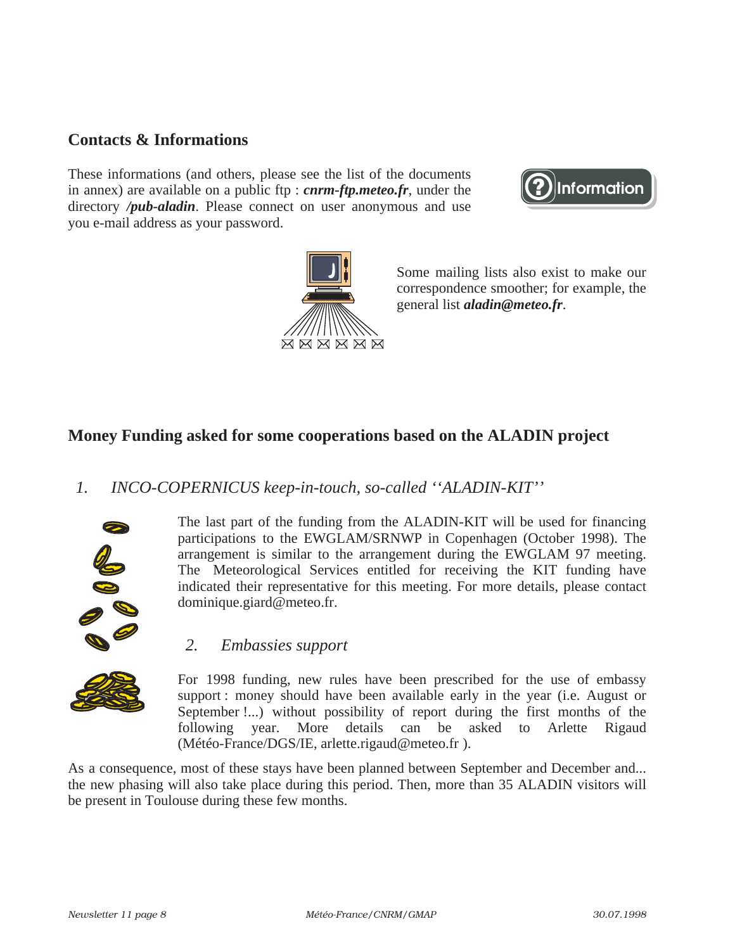### **Contacts & Informations**

These informations (and others, please see the list of the documents in annex) are available on a public ftp : *cnrm-ftp.meteo.fr*, under the directory */pub-aladin*. Please connect on user anonymous and use you e-mail address as your password.





Some mailing lists also exist to make our correspondence smoother; for example, the general list *aladin@meteo.fr*.

### **Money Funding asked for some cooperations based on the ALADIN project**

### *1. INCO-COPERNICUS keep-in-touch, so-called ''ALADIN-KIT''*



The last part of the funding from the ALADIN-KIT will be used for financing participations to the EWGLAM/SRNWP in Copenhagen (October 1998). The arrangement is similar to the arrangement during the EWGLAM 97 meeting. The Meteorological Services entitled for receiving the KIT funding have indicated their representative for this meeting. For more details, please contact dominique.giard@meteo.fr.

#### *2. Embassies support*



For 1998 funding, new rules have been prescribed for the use of embassy support : money should have been available early in the year (i.e. August or September !...) without possibility of report during the first months of the following year. More details can be asked to Arlette Rigaud (Météo-France/DGS/IE, arlette.rigaud@meteo.fr ).

As a consequence, most of these stays have been planned between September and December and... the new phasing will also take place during this period. Then, more than 35 ALADIN visitors will be present in Toulouse during these few months.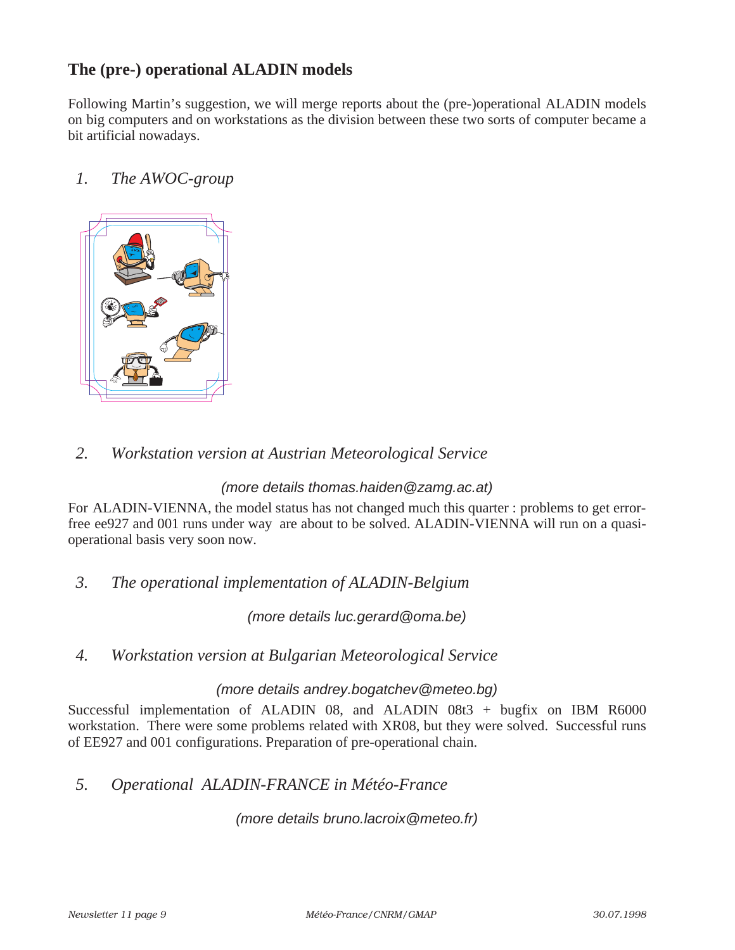### **The (pre-) operational ALADIN models**

Following Martin's suggestion, we will merge reports about the (pre-)operational ALADIN models on big computers and on workstations as the division between these two sorts of computer became a bit artificial nowadays.

### *1. The AWOC-group*



### *2. Workstation version at Austrian Meteorological Service*

#### (more details thomas.haiden@zamg.ac.at)

For ALADIN-VIENNA, the model status has not changed much this quarter : problems to get errorfree ee927 and 001 runs under way are about to be solved. ALADIN-VIENNA will run on a quasioperational basis very soon now.

### *3. The operational implementation of ALADIN-Belgium*

(more details luc.gerard@oma.be)

#### *4. Workstation version at Bulgarian Meteorological Service*

#### (more details andrey.bogatchev@meteo.bg)

Successful implementation of ALADIN 08, and ALADIN 08t $3 +$  bugfix on IBM R6000 workstation. There were some problems related with XR08, but they were solved. Successful runs of EE927 and 001 configurations. Preparation of pre-operational chain.

### *5. Operational ALADIN-FRANCE in Météo-France*

(more details bruno.lacroix@meteo.fr)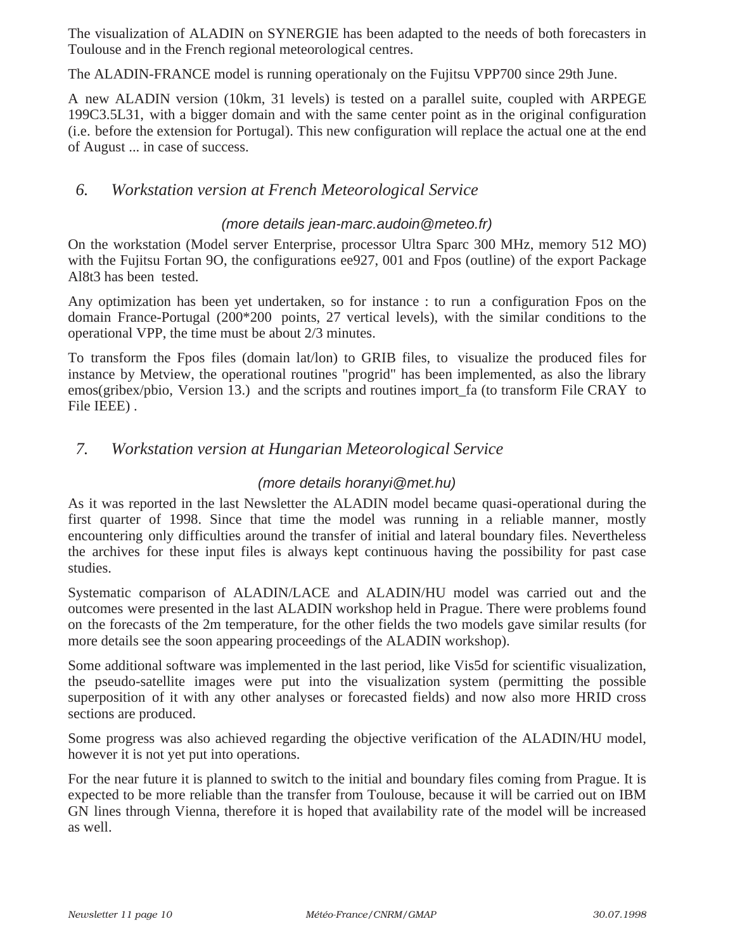The visualization of ALADIN on SYNERGIE has been adapted to the needs of both forecasters in Toulouse and in the French regional meteorological centres.

The ALADIN-FRANCE model is running operationaly on the Fujitsu VPP700 since 29th June.

A new ALADIN version (10km, 31 levels) is tested on a parallel suite, coupled with ARPEGE 199C3.5L31, with a bigger domain and with the same center point as in the original configuration (i.e. before the extension for Portugal). This new configuration will replace the actual one at the end of August ... in case of success.

### *6. Workstation version at French Meteorological Service*

#### (more details jean-marc.audoin@meteo.fr)

On the workstation (Model server Enterprise, processor Ultra Sparc 300 MHz, memory 512 MO) with the Fujitsu Fortan 9O, the configurations ee927, 001 and Fpos (outline) of the export Package Al8t3 has been tested.

Any optimization has been yet undertaken, so for instance : to run a configuration Fpos on the domain France-Portugal (200\*200 points, 27 vertical levels), with the similar conditions to the operational VPP, the time must be about 2/3 minutes.

To transform the Fpos files (domain lat/lon) to GRIB files, to visualize the produced files for instance by Metview, the operational routines "progrid" has been implemented, as also the library emos(gribex/pbio, Version 13.) and the scripts and routines import\_fa (to transform File CRAY to File IEEE) .

### *7. Workstation version at Hungarian Meteorological Service*

#### (more details horanyi@met.hu)

As it was reported in the last Newsletter the ALADIN model became quasi-operational during the first quarter of 1998. Since that time the model was running in a reliable manner, mostly encountering only difficulties around the transfer of initial and lateral boundary files. Nevertheless the archives for these input files is always kept continuous having the possibility for past case studies.

Systematic comparison of ALADIN/LACE and ALADIN/HU model was carried out and the outcomes were presented in the last ALADIN workshop held in Prague. There were problems found on the forecasts of the 2m temperature, for the other fields the two models gave similar results (for more details see the soon appearing proceedings of the ALADIN workshop).

Some additional software was implemented in the last period, like Vis5d for scientific visualization, the pseudo-satellite images were put into the visualization system (permitting the possible superposition of it with any other analyses or forecasted fields) and now also more HRID cross sections are produced.

Some progress was also achieved regarding the objective verification of the ALADIN/HU model, however it is not yet put into operations.

For the near future it is planned to switch to the initial and boundary files coming from Prague. It is expected to be more reliable than the transfer from Toulouse, because it will be carried out on IBM GN lines through Vienna, therefore it is hoped that availability rate of the model will be increased as well.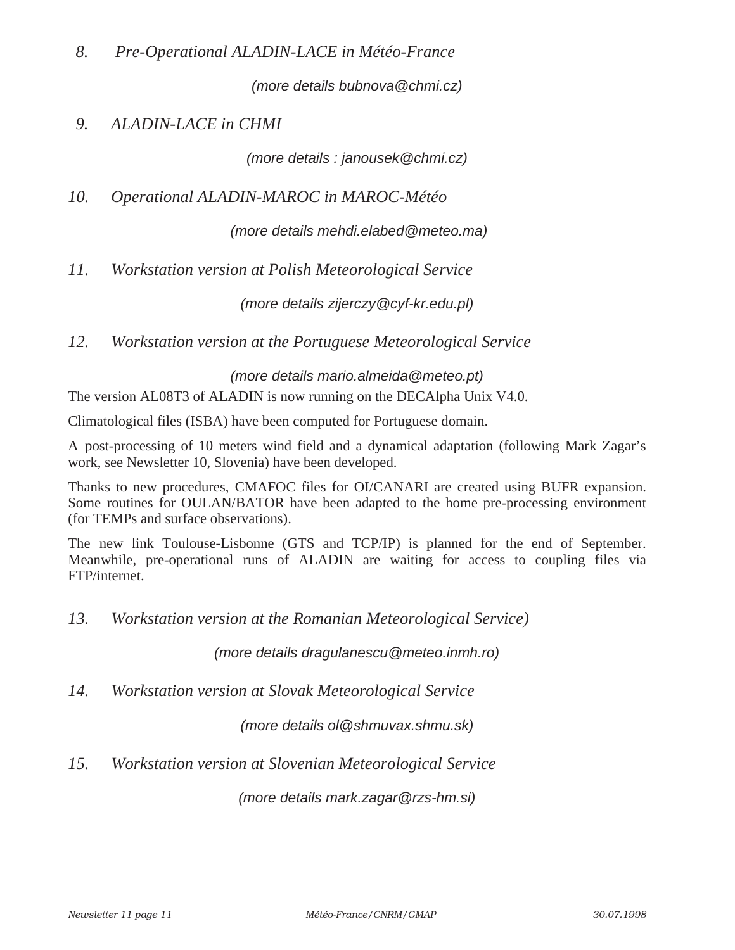*8. Pre-Operational ALADIN-LACE in Météo-France*

(more details bubnova@chmi.cz)

### *9. ALADIN-LACE in CHMI*

(more details : janousek@chmi.cz)

*10. Operational ALADIN-MAROC in MAROC-Météo* 

(more details mehdi.elabed@meteo.ma)

*11. Workstation version at Polish Meteorological Service*

(more details zijerczy@cyf-kr.edu.pl)

*12. Workstation version at the Portuguese Meteorological Service*

(more details mario.almeida@meteo.pt)

The version AL08T3 of ALADIN is now running on the DECAlpha Unix V4.0.

Climatological files (ISBA) have been computed for Portuguese domain.

A post-processing of 10 meters wind field and a dynamical adaptation (following Mark Zagar's work, see Newsletter 10, Slovenia) have been developed.

Thanks to new procedures, CMAFOC files for OI/CANARI are created using BUFR expansion. Some routines for OULAN/BATOR have been adapted to the home pre-processing environment (for TEMPs and surface observations).

The new link Toulouse-Lisbonne (GTS and TCP/IP) is planned for the end of September. Meanwhile, pre-operational runs of ALADIN are waiting for access to coupling files via FTP/internet.

*13. Workstation version at the Romanian Meteorological Service)*

(more details dragulanescu@meteo.inmh.ro)

*14. Workstation version at Slovak Meteorological Service*

(more details ol@shmuvax.shmu.sk)

*15. Workstation version at Slovenian Meteorological Service*

(more details mark.zagar@rzs-hm.si)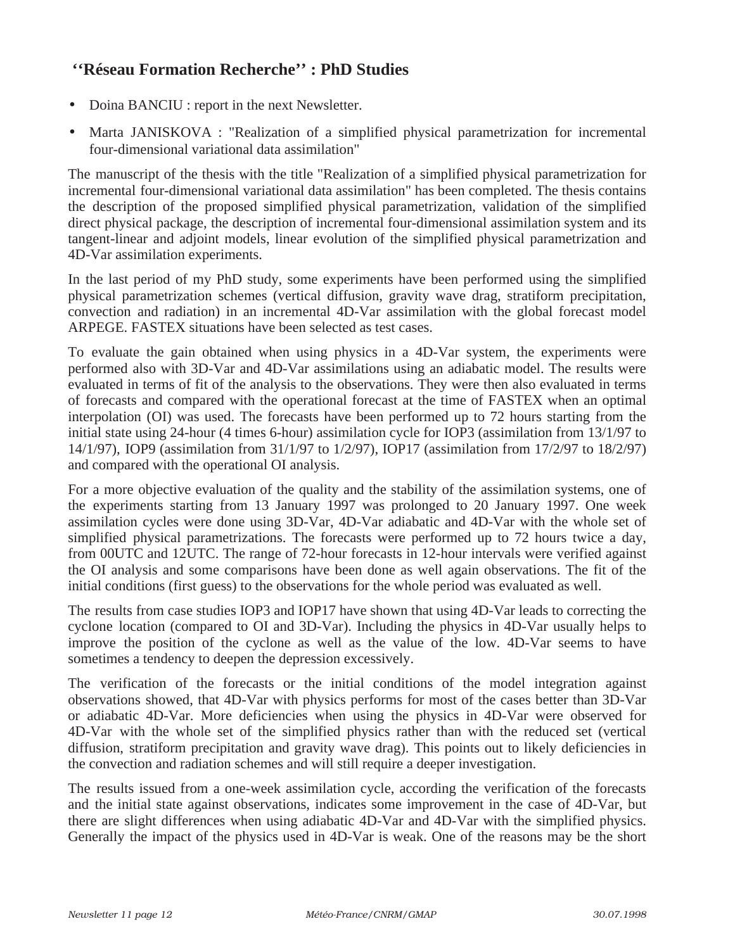# **''Réseau Formation Recherche'' : PhD Studies**

- Doina BANCIU : report in the next Newsletter.
- Marta JANISKOVA : "Realization of a simplified physical parametrization for incremental four-dimensional variational data assimilation"

The manuscript of the thesis with the title "Realization of a simplified physical parametrization for incremental four-dimensional variational data assimilation" has been completed. The thesis contains the description of the proposed simplified physical parametrization, validation of the simplified direct physical package, the description of incremental four-dimensional assimilation system and its tangent-linear and adjoint models, linear evolution of the simplified physical parametrization and 4D-Var assimilation experiments.

In the last period of my PhD study, some experiments have been performed using the simplified physical parametrization schemes (vertical diffusion, gravity wave drag, stratiform precipitation, convection and radiation) in an incremental 4D-Var assimilation with the global forecast model ARPEGE. FASTEX situations have been selected as test cases.

To evaluate the gain obtained when using physics in a 4D-Var system, the experiments were performed also with 3D-Var and 4D-Var assimilations using an adiabatic model. The results were evaluated in terms of fit of the analysis to the observations. They were then also evaluated in terms of forecasts and compared with the operational forecast at the time of FASTEX when an optimal interpolation (OI) was used. The forecasts have been performed up to 72 hours starting from the initial state using 24-hour (4 times 6-hour) assimilation cycle for IOP3 (assimilation from 13/1/97 to 14/1/97), IOP9 (assimilation from 31/1/97 to 1/2/97), IOP17 (assimilation from 17/2/97 to 18/2/97) and compared with the operational OI analysis.

For a more objective evaluation of the quality and the stability of the assimilation systems, one of the experiments starting from 13 January 1997 was prolonged to 20 January 1997. One week assimilation cycles were done using 3D-Var, 4D-Var adiabatic and 4D-Var with the whole set of simplified physical parametrizations. The forecasts were performed up to 72 hours twice a day, from 00UTC and 12UTC. The range of 72-hour forecasts in 12-hour intervals were verified against the OI analysis and some comparisons have been done as well again observations. The fit of the initial conditions (first guess) to the observations for the whole period was evaluated as well.

The results from case studies IOP3 and IOP17 have shown that using 4D-Var leads to correcting the cyclone location (compared to OI and 3D-Var). Including the physics in 4D-Var usually helps to improve the position of the cyclone as well as the value of the low. 4D-Var seems to have sometimes a tendency to deepen the depression excessively.

The verification of the forecasts or the initial conditions of the model integration against observations showed, that 4D-Var with physics performs for most of the cases better than 3D-Var or adiabatic 4D-Var. More deficiencies when using the physics in 4D-Var were observed for 4D-Var with the whole set of the simplified physics rather than with the reduced set (vertical diffusion, stratiform precipitation and gravity wave drag). This points out to likely deficiencies in the convection and radiation schemes and will still require a deeper investigation.

The results issued from a one-week assimilation cycle, according the verification of the forecasts and the initial state against observations, indicates some improvement in the case of 4D-Var, but there are slight differences when using adiabatic 4D-Var and 4D-Var with the simplified physics. Generally the impact of the physics used in 4D-Var is weak. One of the reasons may be the short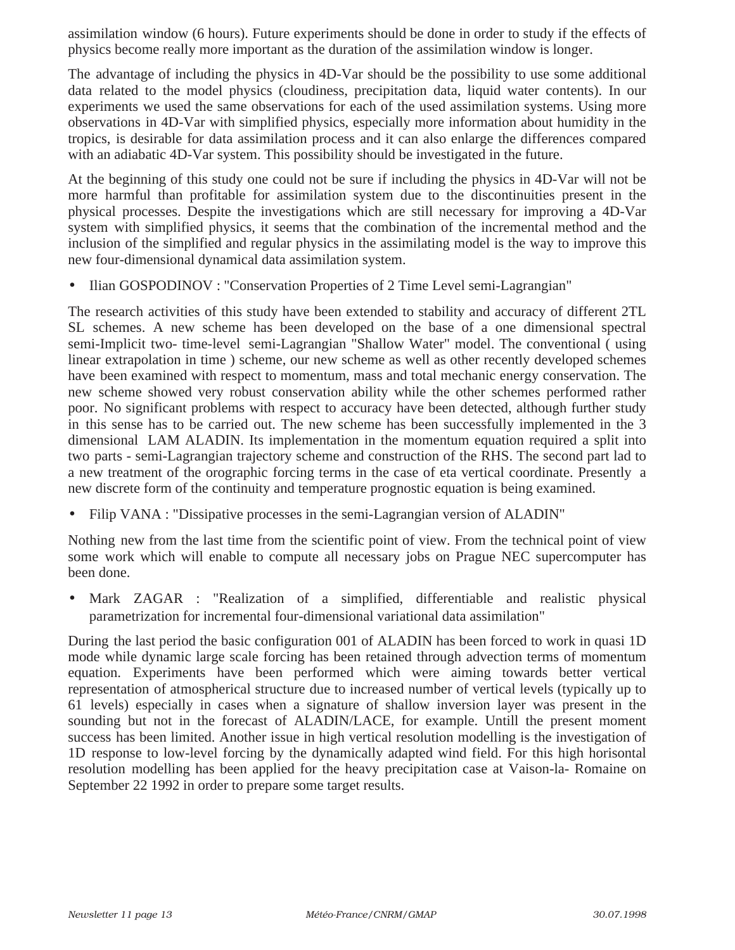assimilation window (6 hours). Future experiments should be done in order to study if the effects of physics become really more important as the duration of the assimilation window is longer.

The advantage of including the physics in 4D-Var should be the possibility to use some additional data related to the model physics (cloudiness, precipitation data, liquid water contents). In our experiments we used the same observations for each of the used assimilation systems. Using more observations in 4D-Var with simplified physics, especially more information about humidity in the tropics, is desirable for data assimilation process and it can also enlarge the differences compared with an adiabatic 4D-Var system. This possibility should be investigated in the future.

At the beginning of this study one could not be sure if including the physics in 4D-Var will not be more harmful than profitable for assimilation system due to the discontinuities present in the physical processes. Despite the investigations which are still necessary for improving a 4D-Var system with simplified physics, it seems that the combination of the incremental method and the inclusion of the simplified and regular physics in the assimilating model is the way to improve this new four-dimensional dynamical data assimilation system.

• Ilian GOSPODINOV : "Conservation Properties of 2 Time Level semi-Lagrangian"

The research activities of this study have been extended to stability and accuracy of different 2TL SL schemes. A new scheme has been developed on the base of a one dimensional spectral semi-Implicit two- time-level semi-Lagrangian "Shallow Water" model. The conventional ( using linear extrapolation in time ) scheme, our new scheme as well as other recently developed schemes have been examined with respect to momentum, mass and total mechanic energy conservation. The new scheme showed very robust conservation ability while the other schemes performed rather poor. No significant problems with respect to accuracy have been detected, although further study in this sense has to be carried out. The new scheme has been successfully implemented in the 3 dimensional LAM ALADIN. Its implementation in the momentum equation required a split into two parts - semi-Lagrangian trajectory scheme and construction of the RHS. The second part lad to a new treatment of the orographic forcing terms in the case of eta vertical coordinate. Presently a new discrete form of the continuity and temperature prognostic equation is being examined.

• Filip VANA : "Dissipative processes in the semi-Lagrangian version of ALADIN"

Nothing new from the last time from the scientific point of view. From the technical point of view some work which will enable to compute all necessary jobs on Prague NEC supercomputer has been done.

• Mark ZAGAR : "Realization of a simplified, differentiable and realistic physical parametrization for incremental four-dimensional variational data assimilation"

During the last period the basic configuration 001 of ALADIN has been forced to work in quasi 1D mode while dynamic large scale forcing has been retained through advection terms of momentum equation. Experiments have been performed which were aiming towards better vertical representation of atmospherical structure due to increased number of vertical levels (typically up to 61 levels) especially in cases when a signature of shallow inversion layer was present in the sounding but not in the forecast of ALADIN/LACE, for example. Untill the present moment success has been limited. Another issue in high vertical resolution modelling is the investigation of 1D response to low-level forcing by the dynamically adapted wind field. For this high horisontal resolution modelling has been applied for the heavy precipitation case at Vaison-la- Romaine on September 22 1992 in order to prepare some target results.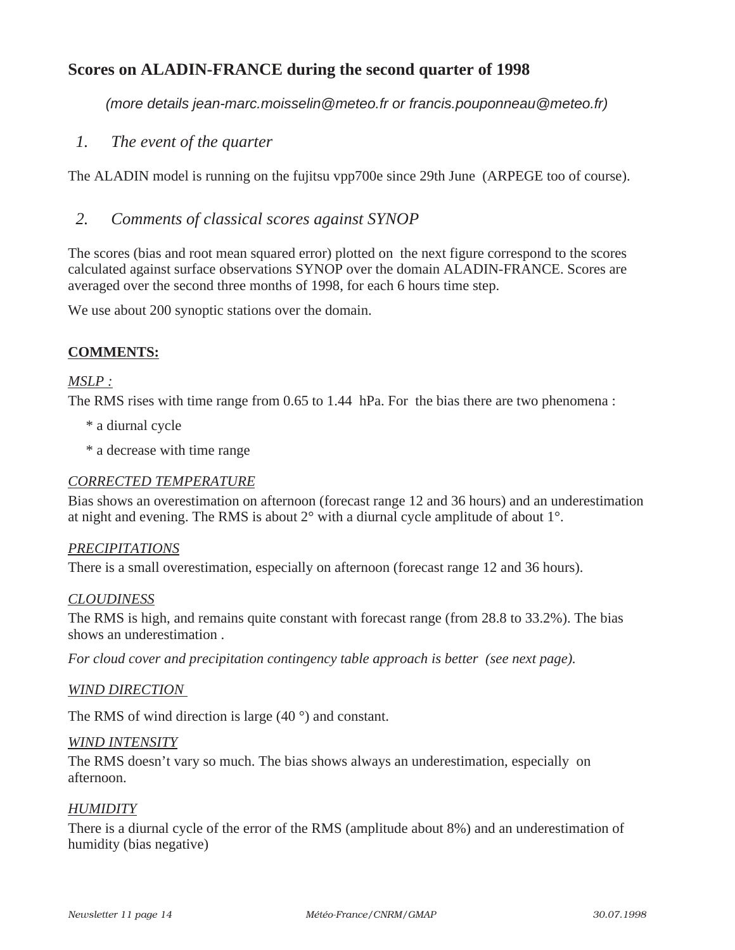### **Scores on ALADIN-FRANCE during the second quarter of 1998**

(more details jean-marc.moisselin@meteo.fr or francis.pouponneau@meteo.fr)

*1. The event of the quarter*

The ALADIN model is running on the fujitsu vpp700e since 29th June (ARPEGE too of course).

### *2. Comments of classical scores against SYNOP*

The scores (bias and root mean squared error) plotted on the next figure correspond to the scores calculated against surface observations SYNOP over the domain ALADIN-FRANCE. Scores are averaged over the second three months of 1998, for each 6 hours time step.

We use about 200 synoptic stations over the domain.

#### **COMMENTS:**

#### *MSLP :*

The RMS rises with time range from 0.65 to 1.44 hPa. For the bias there are two phenomena :

- \* a diurnal cycle
- \* a decrease with time range

#### *CORRECTED TEMPERATURE*

Bias shows an overestimation on afternoon (forecast range 12 and 36 hours) and an underestimation at night and evening. The RMS is about 2° with a diurnal cycle amplitude of about 1°.

#### *PRECIPITATIONS*

There is a small overestimation, especially on afternoon (forecast range 12 and 36 hours).

#### *CLOUDINESS*

The RMS is high, and remains quite constant with forecast range (from 28.8 to 33.2%). The bias shows an underestimation .

*For cloud cover and precipitation contingency table approach is better (see next page).*

#### *WIND DIRECTION*

The RMS of wind direction is large (40 °) and constant.

#### *WIND INTENSITY*

The RMS doesn't vary so much. The bias shows always an underestimation, especially on afternoon.

#### *HUMIDITY*

There is a diurnal cycle of the error of the RMS (amplitude about 8%) and an underestimation of humidity (bias negative)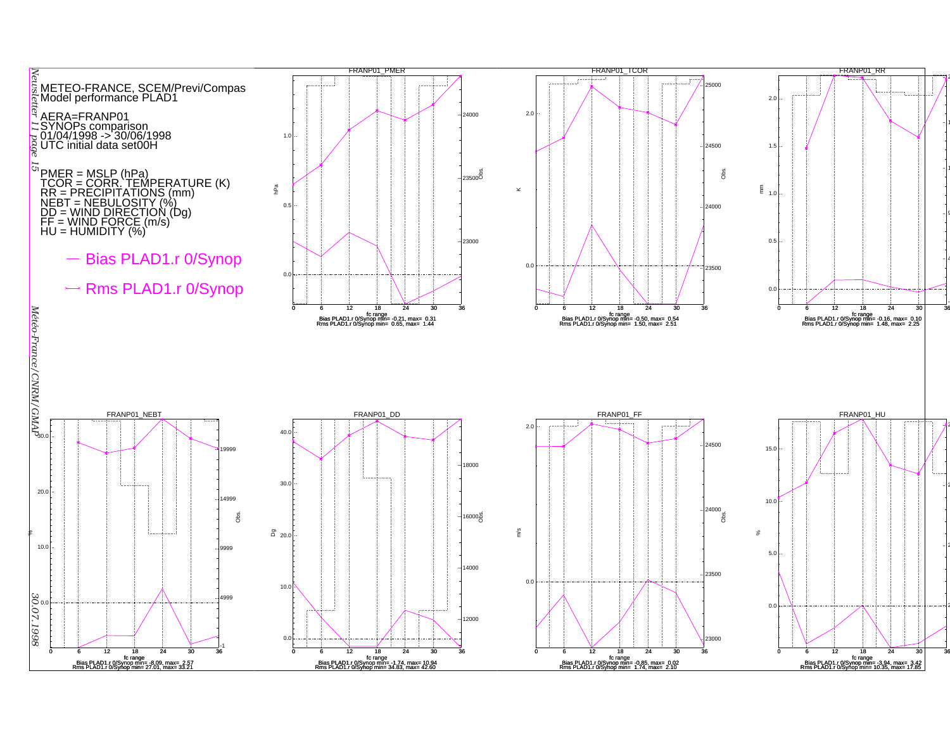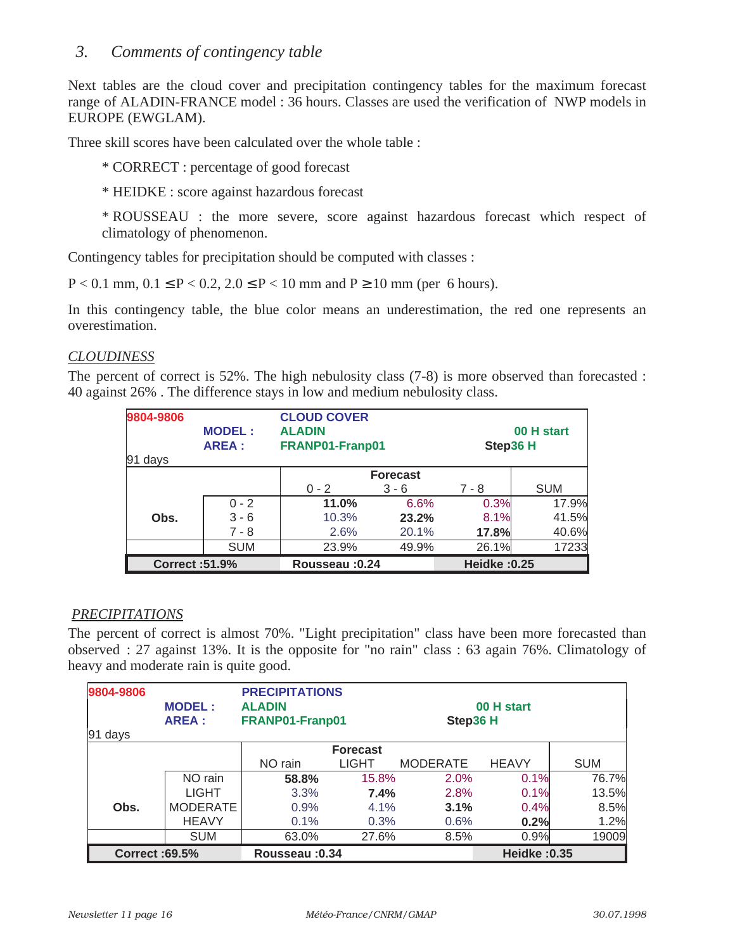### *3. Comments of contingency table*

Next tables are the cloud cover and precipitation contingency tables for the maximum forecast range of ALADIN-FRANCE model : 36 hours. Classes are used the verification of NWP models in EUROPE (EWGLAM).

Three skill scores have been calculated over the whole table :

\* CORRECT : percentage of good forecast

\* HEIDKE : score against hazardous forecast

\* ROUSSEAU : the more severe, score against hazardous forecast which respect of climatology of phenomenon.

Contingency tables for precipitation should be computed with classes :

P < 0.1 mm, 0.1 ≤ P < 0.2, 2.0 ≤ P < 10 mm and P ≥ 10 mm (per 6 hours).

In this contingency table, the blue color means an underestimation, the red one represents an overestimation.

#### *CLOUDINESS*

The percent of correct is 52%. The high nebulosity class (7-8) is more observed than forecasted : 40 against 26% . The difference stays in low and medium nebulosity class.

| 9804-9806<br>91 days  | <b>MODEL:</b><br><b>AREA:</b> | <b>CLOUD COVER</b><br><b>ALADIN</b><br>FRANP01-Franp01 |                 | Step36 H            | 00 H start |
|-----------------------|-------------------------------|--------------------------------------------------------|-----------------|---------------------|------------|
|                       |                               |                                                        | <b>Forecast</b> |                     |            |
|                       |                               | $0 - 2$                                                | $3 - 6$         | $7 - 8$             | <b>SUM</b> |
|                       | $0 - 2$                       | 11.0%                                                  | 6.6%            | 0.3%                | 17.9%      |
| Obs.                  | $3 - 6$                       | 10.3%                                                  | 23.2%           | 8.1%                | 41.5%      |
|                       | $7 - 8$                       | 2.6%                                                   | 20.1%           | 17.8%               | 40.6%      |
|                       | <b>SUM</b>                    | 23.9%                                                  | 49.9%           | 26.1%               | 17233      |
| <b>Correct: 51.9%</b> |                               | Rousseau: 0.24                                         |                 | <b>Heidke: 0.25</b> |            |

#### *PRECIPITATIONS*

The percent of correct is almost 70%. "Light precipitation" class have been more forecasted than observed : 27 against 13%. It is the opposite for "no rain" class : 63 again 76%. Climatology of heavy and moderate rain is quite good.

| 9804-9806             |                 | <b>PRECIPITATIONS</b> |                 |                 |                     |            |
|-----------------------|-----------------|-----------------------|-----------------|-----------------|---------------------|------------|
|                       | <b>MODEL:</b>   | <b>ALADIN</b>         |                 |                 | 00 H start          |            |
|                       | <b>AREA:</b>    | FRANP01-Franp01       |                 | Step36 H        |                     |            |
| $ 91 \text{ days} $   |                 |                       |                 |                 |                     |            |
|                       |                 |                       | <b>Forecast</b> |                 |                     |            |
|                       |                 | NO rain               | <b>LIGHT</b>    | <b>MODERATE</b> | <b>HEAVY</b>        | <b>SUM</b> |
|                       | NO rain         | 58.8%                 | 15.8%           | 2.0%            | 0.1%                | 76.7%      |
|                       | <b>LIGHT</b>    | 3.3%                  | 7.4%            | 2.8%            | 0.1%                | 13.5%      |
| Obs.                  | <b>MODERATE</b> | 0.9%                  | 4.1%            | 3.1%            | 0.4%                | 8.5%       |
|                       | <b>HEAVY</b>    | 0.1%                  | 0.3%            | 0.6%            | 0.2%                | 1.2%       |
|                       | <b>SUM</b>      | 63.0%                 | 27.6%           | 8.5%            | 0.9%                | 19009      |
| <b>Correct: 69.5%</b> |                 | Rousseau: 0.34        |                 |                 | <b>Heidke: 0.35</b> |            |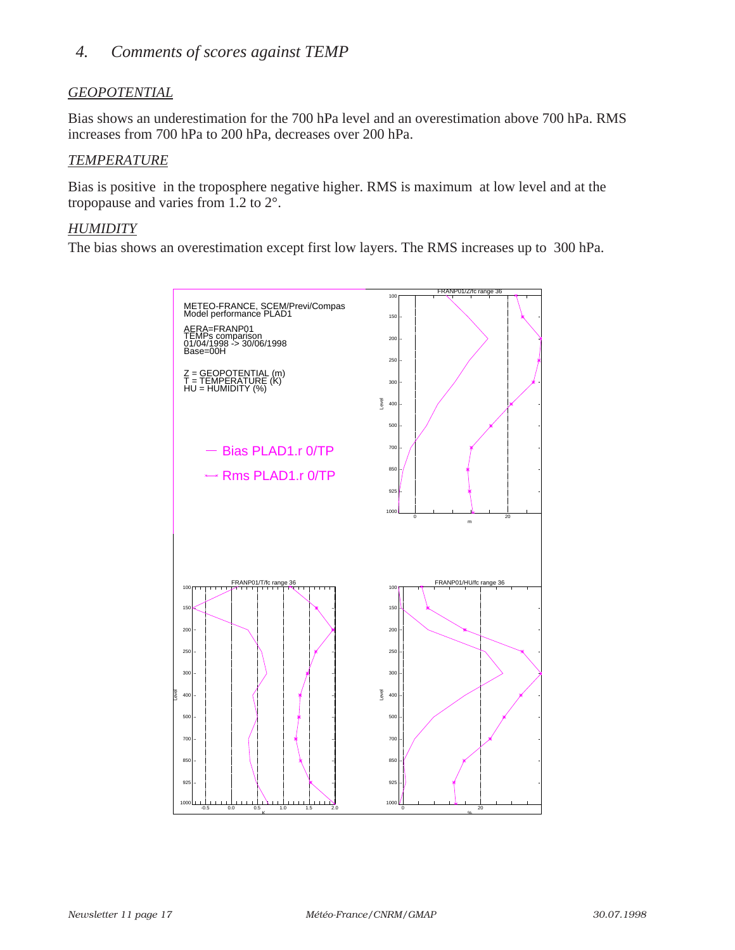### *4. Comments of scores against TEMP*

#### *GEOPOTENTIAL*

Bias shows an underestimation for the 700 hPa level and an overestimation above 700 hPa. RMS increases from 700 hPa to 200 hPa, decreases over 200 hPa.

#### *TEMPERATURE*

Bias is positive in the troposphere negative higher. RMS is maximum at low level and at the tropopause and varies from 1.2 to 2°.

#### *HUMIDITY*

The bias shows an overestimation except first low layers. The RMS increases up to 300 hPa.

![](_page_16_Figure_7.jpeg)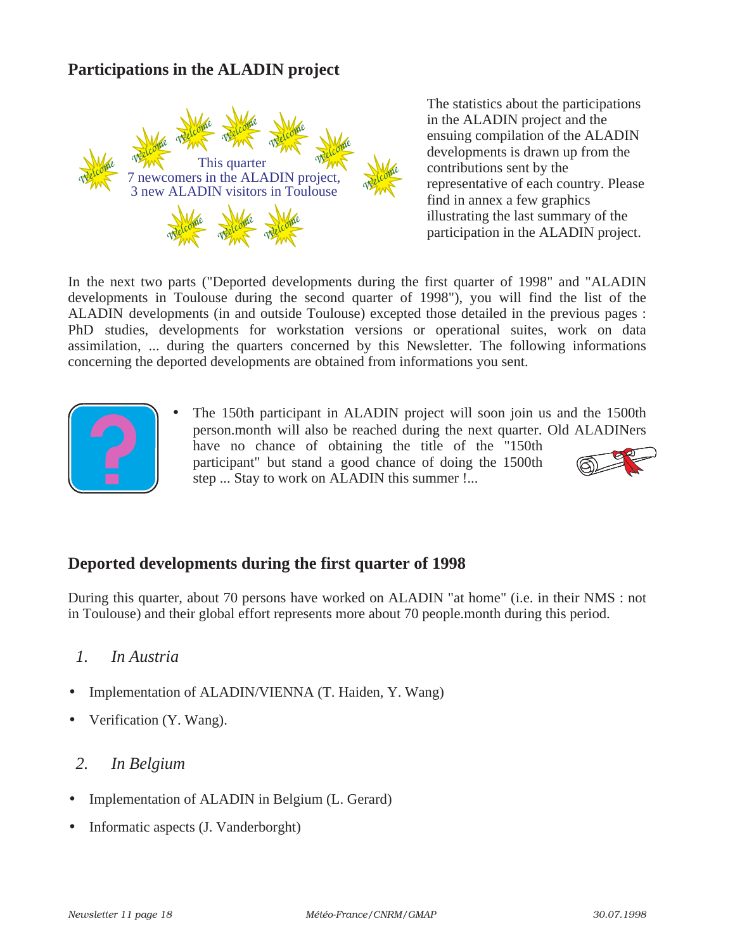### **Participations in the ALADIN project**

![](_page_17_Picture_1.jpeg)

The statistics about the participations in the ALADIN project and the ensuing compilation of the ALADIN developments is drawn up from the contributions sent by the representative of each country. Please find in annex a few graphics illustrating the last summary of the participation in the ALADIN project.

In the next two parts ("Deported developments during the first quarter of 1998" and "ALADIN developments in Toulouse during the second quarter of 1998"), you will find the list of the ALADIN developments (in and outside Toulouse) excepted those detailed in the previous pages : PhD studies, developments for workstation versions or operational suites, work on data assimilation, ... during the quarters concerned by this Newsletter. The following informations concerning the deported developments are obtained from informations you sent.

![](_page_17_Picture_4.jpeg)

The 150th participant in ALADIN project will soon join us and the 1500th person.month will also be reached during the next quarter. Old ALADINers have no chance of obtaining the title of the "150th participant" but stand a good chance of doing the 1500th step ... Stay to work on ALADIN this summer !...

![](_page_17_Picture_6.jpeg)

### **Deported developments during the first quarter of 1998**

During this quarter, about 70 persons have worked on ALADIN "at home" (i.e. in their NMS : not in Toulouse) and their global effort represents more about 70 people.month during this period.

#### *1. In Austria*

- Implementation of ALADIN/VIENNA (T. Haiden, Y. Wang)
- Verification (Y. Wang).

#### *2. In Belgium*

- Implementation of ALADIN in Belgium (L. Gerard)
- Informatic aspects (J. Vanderborght)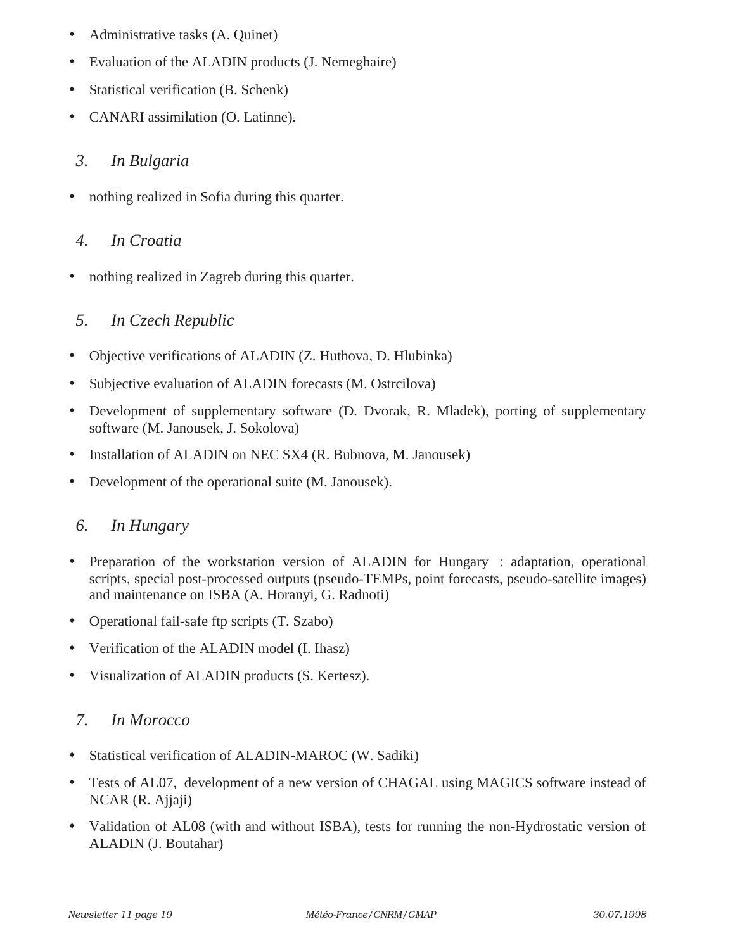- Administrative tasks (A. Quinet)
- Evaluation of the ALADIN products (J. Nemeghaire)
- Statistical verification (B. Schenk)
- CANARI assimilation (O. Latinne).

### *3. In Bulgaria*

• nothing realized in Sofia during this quarter.

### *4. In Croatia*

• nothing realized in Zagreb during this quarter.

# *5. In Czech Republic*

- Objective verifications of ALADIN (Z. Huthova, D. Hlubinka)
- Subjective evaluation of ALADIN forecasts (M. Ostrcilova)
- Development of supplementary software (D. Dvorak, R. Mladek), porting of supplementary software (M. Janousek, J. Sokolova)
- Installation of ALADIN on NEC SX4 (R. Bubnova, M. Janousek)
- Development of the operational suite (M. Janousek).

# *6. In Hungary*

- Preparation of the workstation version of ALADIN for Hungary : adaptation, operational scripts, special post-processed outputs (pseudo-TEMPs, point forecasts, pseudo-satellite images) and maintenance on ISBA (A. Horanyi, G. Radnoti)
- Operational fail-safe ftp scripts (T. Szabo)
- Verification of the ALADIN model (I. Ihasz)
- Visualization of ALADIN products (S. Kertesz).

# *7. In Morocco*

- Statistical verification of ALADIN-MAROC (W. Sadiki)
- Tests of AL07, development of a new version of CHAGAL using MAGICS software instead of NCAR (R. Ajjaji)
- Validation of AL08 (with and without ISBA), tests for running the non-Hydrostatic version of ALADIN (J. Boutahar)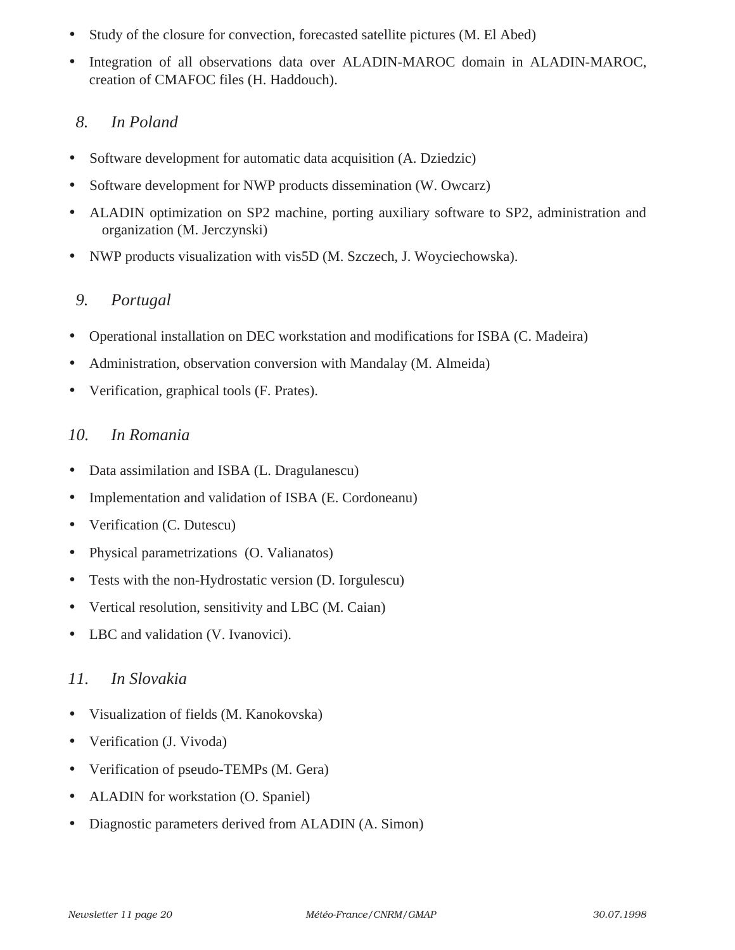- Study of the closure for convection, forecasted satellite pictures (M. El Abed)
- Integration of all observations data over ALADIN-MAROC domain in ALADIN-MAROC, creation of CMAFOC files (H. Haddouch).

# *8. In Poland*

- Software development for automatic data acquisition (A. Dziedzic)
- Software development for NWP products dissemination (W. Owcarz)
- ALADIN optimization on SP2 machine, porting auxiliary software to SP2, administration and organization (M. Jerczynski)
- NWP products visualization with vis5D (M. Szczech, J. Woyciechowska).

### *9. Portugal*

- Operational installation on DEC workstation and modifications for ISBA (C. Madeira)
- Administration, observation conversion with Mandalay (M. Almeida)
- Verification, graphical tools (F. Prates).

### *10. In Romania*

- Data assimilation and ISBA (L. Dragulanescu)
- Implementation and validation of ISBA (E. Cordoneanu)
- Verification (C. Dutescu)
- Physical parametrizations (O. Valianatos)
- Tests with the non-Hydrostatic version (D. Iorgulescu)
- Vertical resolution, sensitivity and LBC (M. Caian)
- LBC and validation (V. Ivanovici).

### *11. In Slovakia*

- Visualization of fields (M. Kanokovska)
- Verification (J. Vivoda)
- Verification of pseudo-TEMPs (M. Gera)
- ALADIN for workstation (O. Spaniel)
- Diagnostic parameters derived from ALADIN (A. Simon)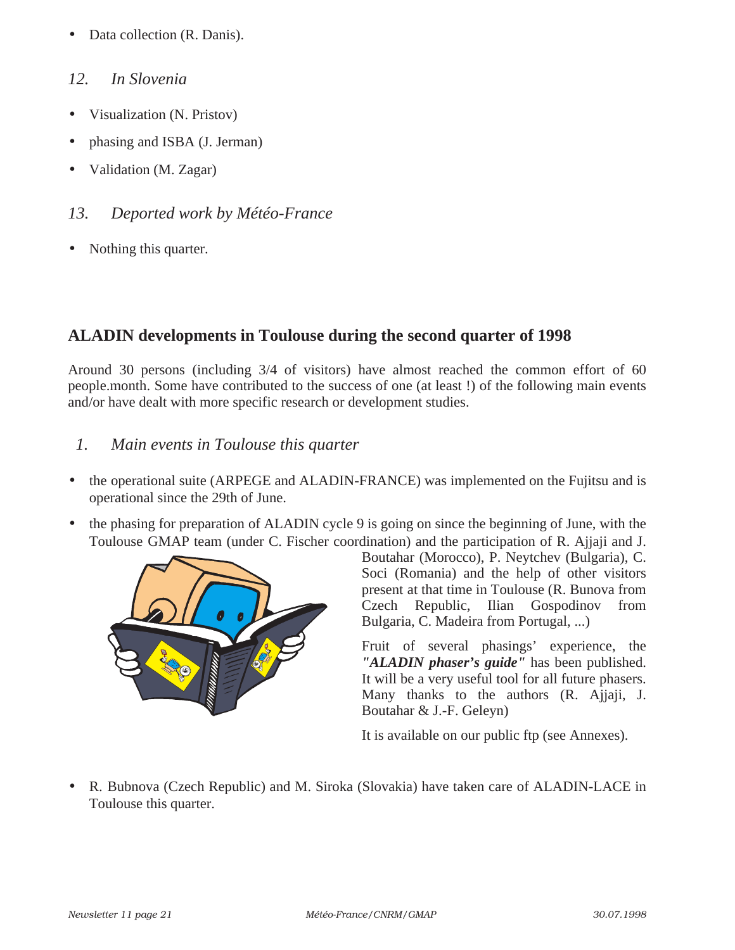• Data collection (R. Danis).

### *12. In Slovenia*

- Visualization (N. Pristov)
- phasing and ISBA (J. Jerman)
- Validation (M. Zagar)
- *13. Deported work by Météo-France*
- Nothing this quarter.

### **ALADIN developments in Toulouse during the second quarter of 1998**

Around 30 persons (including 3/4 of visitors) have almost reached the common effort of 60 people.month. Some have contributed to the success of one (at least !) of the following main events and/or have dealt with more specific research or development studies.

### *1. Main events in Toulouse this quarter*

- the operational suite (ARPEGE and ALADIN-FRANCE) was implemented on the Fujitsu and is operational since the 29th of June.
- the phasing for preparation of ALADIN cycle 9 is going on since the beginning of June, with the Toulouse GMAP team (under C. Fischer coordination) and the participation of R. Ajjaji and J.

![](_page_20_Picture_12.jpeg)

Boutahar (Morocco), P. Neytchev (Bulgaria), C. Soci (Romania) and the help of other visitors present at that time in Toulouse (R. Bunova from Czech Republic, Ilian Gospodinov from Bulgaria, C. Madeira from Portugal, ...)

Fruit of several phasings' experience, the *"ALADIN phaser's guide"* has been published. It will be a very useful tool for all future phasers. Many thanks to the authors (R. Ajjaji, J. Boutahar & J.-F. Geleyn)

It is available on our public ftp (see Annexes).

• R. Bubnova (Czech Republic) and M. Siroka (Slovakia) have taken care of ALADIN-LACE in Toulouse this quarter.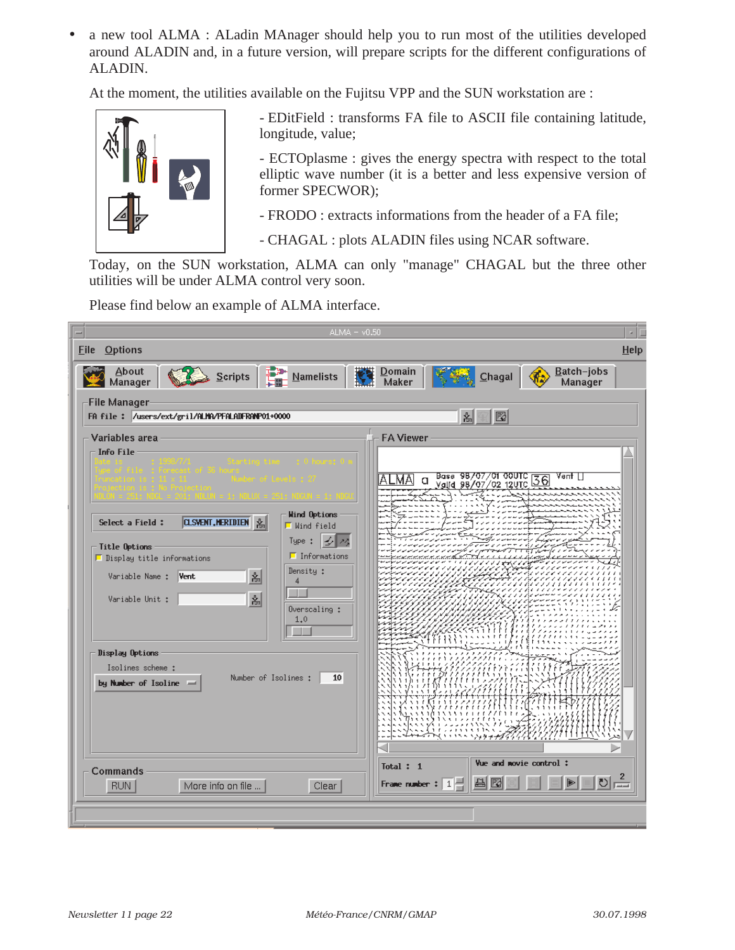• a new tool ALMA : ALadin MAnager should help you to run most of the utilities developed around ALADIN and, in a future version, will prepare scripts for the different configurations of ALADIN.

At the moment, the utilities available on the Fujitsu VPP and the SUN workstation are :

![](_page_21_Picture_2.jpeg)

- EDitField : transforms FA file to ASCII file containing latitude, longitude, value;

- ECTOplasme : gives the energy spectra with respect to the total elliptic wave number (it is a better and less expensive version of former SPECWOR);

- FRODO : extracts informations from the header of a FA file;

- CHAGAL : plots ALADIN files using NCAR software.

Today, on the SUN workstation, ALMA can only "manage" CHAGAL but the three other utilities will be under ALMA control very soon.

Please find below an example of ALMA interface.

| $ALMA = v0.50$<br><b>Options</b><br><b>Eile</b>                                                                                                                                                                                                                                                                                                                      | $He$ lp                                                                                                          |
|----------------------------------------------------------------------------------------------------------------------------------------------------------------------------------------------------------------------------------------------------------------------------------------------------------------------------------------------------------------------|------------------------------------------------------------------------------------------------------------------|
| About<br>탑<br>Scripts<br><b>Namelists</b><br>Manager                                                                                                                                                                                                                                                                                                                 | Batch-jobs<br>Domain<br>Maker<br>Chagal<br>Manager                                                               |
| -File Manager-<br>FA file: /users/ext/gril/ALMA/PFALADFRANP01+0000                                                                                                                                                                                                                                                                                                   | 쐶<br>國                                                                                                           |
| Variables area<br><b>Info File</b><br><b>Wind Options</b><br><b>CLSVENT, HERIDIEN</b><br>Select a Field:<br>Wind field<br>$\frac{1}{2}$ $\frac{1}{2}$<br>Type:<br><b>Title Options</b><br>$\blacksquare$ Informations<br>$\blacksquare$ Display title informations<br>Density :<br>십<br>Vent<br>Variable Name :<br>4<br>십<br>Variable Unit :<br>Overscaling :<br>1,0 | <b>FA Viewer</b><br>Base 98/07/01 00UTC <mark>36</mark><br>Valid 98/07/02 12UTC <mark>36</mark><br>Vent    <br>п |
| Display Options<br>Isolines scheme :<br>Number of Isolines :<br>10<br>by Number of Isoline =                                                                                                                                                                                                                                                                         | استر و ران                                                                                                       |
| Commands<br>More info on file<br>Clear<br><b>RUN</b>                                                                                                                                                                                                                                                                                                                 | Vue and movie control:<br>Total: 1<br>$\mathbf{z}$<br>이호<br>R<br>녝<br>Frame number:<br>1                         |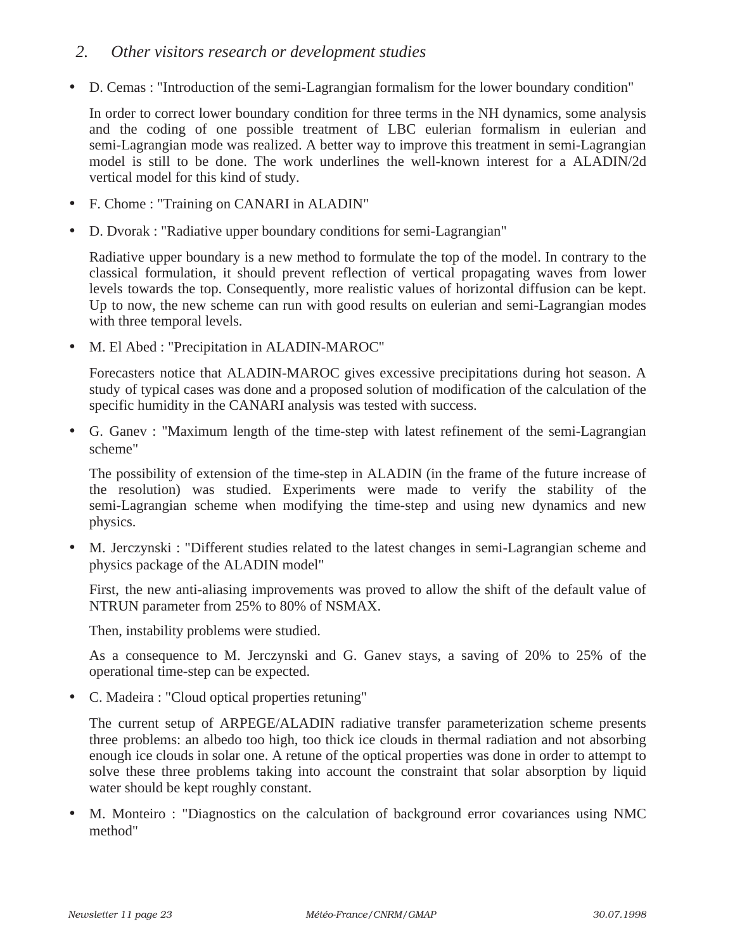### *2. Other visitors research or development studies*

• D. Cemas : "Introduction of the semi-Lagrangian formalism for the lower boundary condition"

In order to correct lower boundary condition for three terms in the NH dynamics, some analysis and the coding of one possible treatment of LBC eulerian formalism in eulerian and semi-Lagrangian mode was realized. A better way to improve this treatment in semi-Lagrangian model is still to be done. The work underlines the well-known interest for a ALADIN/2d vertical model for this kind of study.

- F. Chome : "Training on CANARI in ALADIN"
- D. Dvorak : "Radiative upper boundary conditions for semi-Lagrangian"

Radiative upper boundary is a new method to formulate the top of the model. In contrary to the classical formulation, it should prevent reflection of vertical propagating waves from lower levels towards the top. Consequently, more realistic values of horizontal diffusion can be kept. Up to now, the new scheme can run with good results on eulerian and semi-Lagrangian modes with three temporal levels.

• M. El Abed : "Precipitation in ALADIN-MAROC"

Forecasters notice that ALADIN-MAROC gives excessive precipitations during hot season. A study of typical cases was done and a proposed solution of modification of the calculation of the specific humidity in the CANARI analysis was tested with success.

• G. Ganev : "Maximum length of the time-step with latest refinement of the semi-Lagrangian scheme"

The possibility of extension of the time-step in ALADIN (in the frame of the future increase of the resolution) was studied. Experiments were made to verify the stability of the semi-Lagrangian scheme when modifying the time-step and using new dynamics and new physics.

• M. Jerczynski : "Different studies related to the latest changes in semi-Lagrangian scheme and physics package of the ALADIN model"

First, the new anti-aliasing improvements was proved to allow the shift of the default value of NTRUN parameter from 25% to 80% of NSMAX.

Then, instability problems were studied.

As a consequence to M. Jerczynski and G. Ganev stays, a saving of 20% to 25% of the operational time-step can be expected.

• C. Madeira : "Cloud optical properties retuning"

The current setup of ARPEGE/ALADIN radiative transfer parameterization scheme presents three problems: an albedo too high, too thick ice clouds in thermal radiation and not absorbing enough ice clouds in solar one. A retune of the optical properties was done in order to attempt to solve these three problems taking into account the constraint that solar absorption by liquid water should be kept roughly constant.

• M. Monteiro : "Diagnostics on the calculation of background error covariances using NMC method"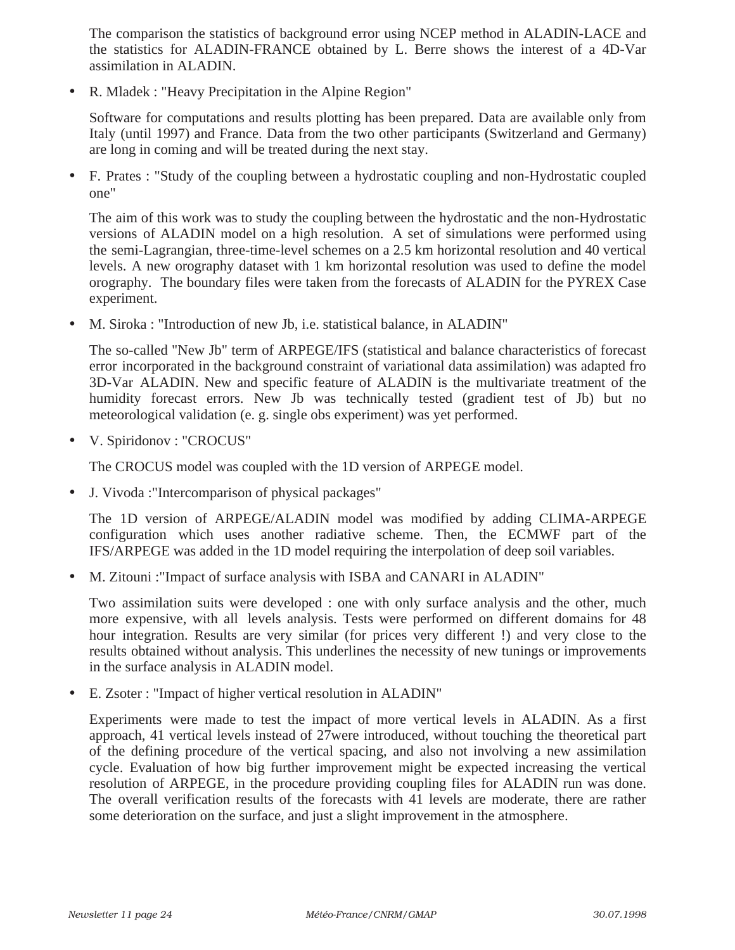The comparison the statistics of background error using NCEP method in ALADIN-LACE and the statistics for ALADIN-FRANCE obtained by L. Berre shows the interest of a 4D-Var assimilation in ALADIN.

• R. Mladek : "Heavy Precipitation in the Alpine Region"

Software for computations and results plotting has been prepared. Data are available only from Italy (until 1997) and France. Data from the two other participants (Switzerland and Germany) are long in coming and will be treated during the next stay.

• F. Prates : "Study of the coupling between a hydrostatic coupling and non-Hydrostatic coupled one"

The aim of this work was to study the coupling between the hydrostatic and the non-Hydrostatic versions of ALADIN model on a high resolution. A set of simulations were performed using the semi-Lagrangian, three-time-level schemes on a 2.5 km horizontal resolution and 40 vertical levels. A new orography dataset with 1 km horizontal resolution was used to define the model orography. The boundary files were taken from the forecasts of ALADIN for the PYREX Case experiment.

• M. Siroka : "Introduction of new Jb, i.e. statistical balance, in ALADIN"

The so-called "New Jb" term of ARPEGE/IFS (statistical and balance characteristics of forecast error incorporated in the background constraint of variational data assimilation) was adapted fro 3D-Var ALADIN. New and specific feature of ALADIN is the multivariate treatment of the humidity forecast errors. New Jb was technically tested (gradient test of Jb) but no meteorological validation (e. g. single obs experiment) was yet performed.

• V. Spiridonov : "CROCUS"

The CROCUS model was coupled with the 1D version of ARPEGE model.

• J. Vivoda :"Intercomparison of physical packages"

The 1D version of ARPEGE/ALADIN model was modified by adding CLIMA-ARPEGE configuration which uses another radiative scheme. Then, the ECMWF part of the IFS/ARPEGE was added in the 1D model requiring the interpolation of deep soil variables.

• M. Zitouni :"Impact of surface analysis with ISBA and CANARI in ALADIN"

Two assimilation suits were developed : one with only surface analysis and the other, much more expensive, with all levels analysis. Tests were performed on different domains for 48 hour integration. Results are very similar (for prices very different !) and very close to the results obtained without analysis. This underlines the necessity of new tunings or improvements in the surface analysis in ALADIN model.

• E. Zsoter : "Impact of higher vertical resolution in ALADIN"

Experiments were made to test the impact of more vertical levels in ALADIN. As a first approach, 41 vertical levels instead of 27were introduced, without touching the theoretical part of the defining procedure of the vertical spacing, and also not involving a new assimilation cycle. Evaluation of how big further improvement might be expected increasing the vertical resolution of ARPEGE, in the procedure providing coupling files for ALADIN run was done. The overall verification results of the forecasts with 41 levels are moderate, there are rather some deterioration on the surface, and just a slight improvement in the atmosphere.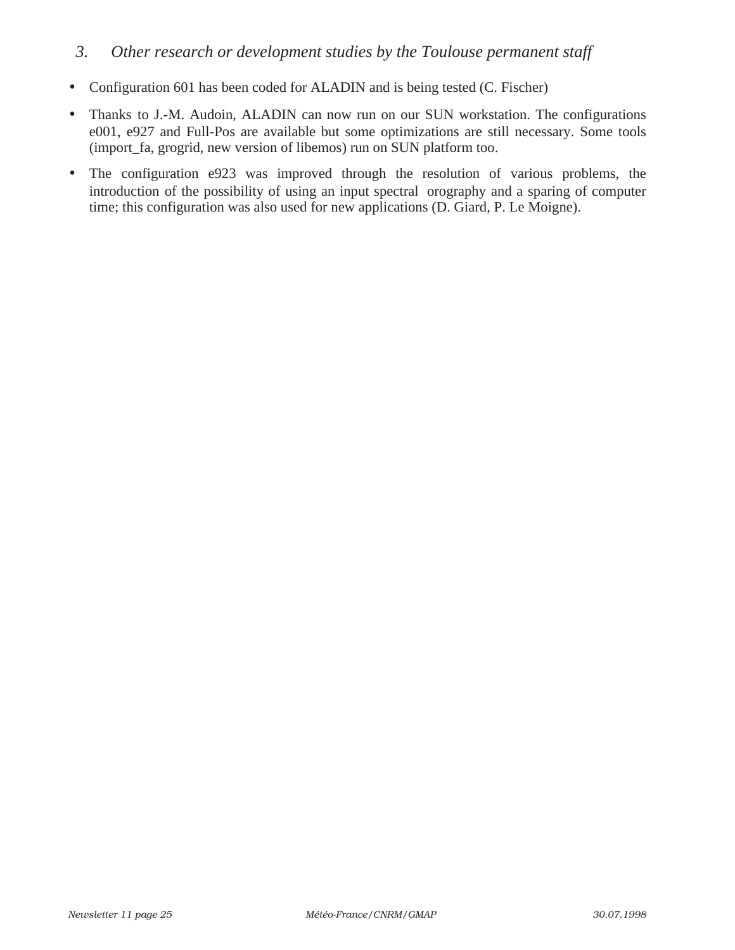### *3. Other research or development studies by the Toulouse permanent staff*

- Configuration 601 has been coded for ALADIN and is being tested (C. Fischer)
- Thanks to J.-M. Audoin, ALADIN can now run on our SUN workstation. The configurations e001, e927 and Full-Pos are available but some optimizations are still necessary. Some tools (import\_fa, grogrid, new version of libemos) run on SUN platform too.
- The configuration e923 was improved through the resolution of various problems, the introduction of the possibility of using an input spectral orography and a sparing of computer time; this configuration was also used for new applications (D. Giard, P. Le Moigne).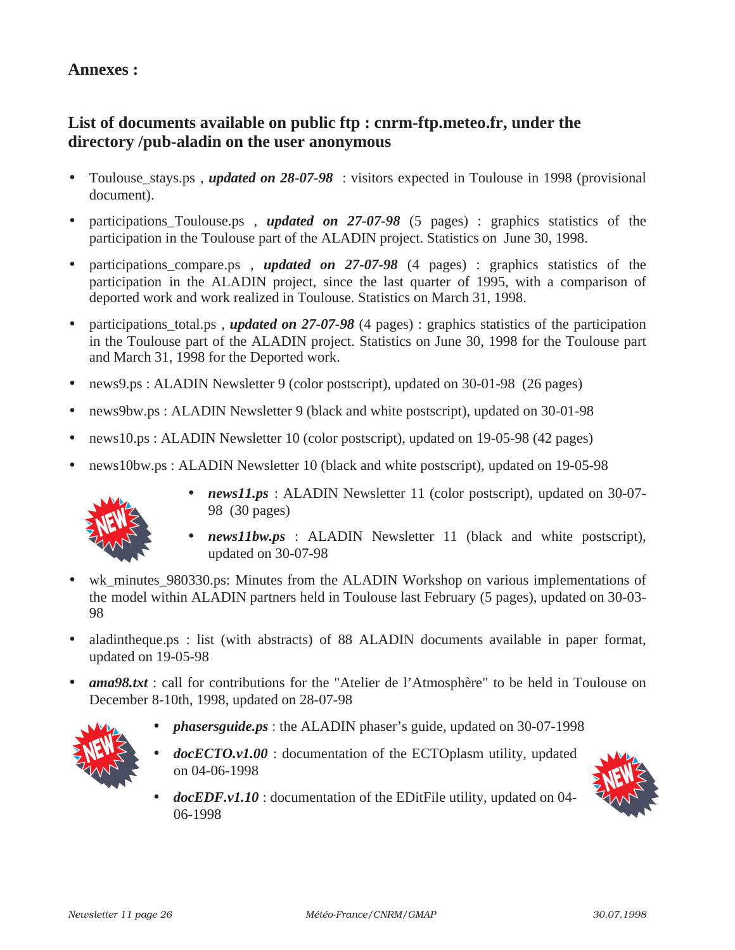### **Annexes :**

# **List of documents available on public ftp : cnrm-ftp.meteo.fr, under the directory /pub-aladin on the user anonymous**

- Toulouse\_stays.ps , *updated on 28-07-98* : visitors expected in Toulouse in 1998 (provisional document).
- participations Toulouse.ps , *updated on 27-07-98* (5 pages) : graphics statistics of the participation in the Toulouse part of the ALADIN project. Statistics on June 30, 1998.
- participations compare.ps , *updated on 27-07-98* (4 pages) : graphics statistics of the participation in the ALADIN project, since the last quarter of 1995, with a comparison of deported work and work realized in Toulouse. Statistics on March 31, 1998.
- participations\_total.ps, *updated on 27-07-98* (4 pages) : graphics statistics of the participation in the Toulouse part of the ALADIN project. Statistics on June 30, 1998 for the Toulouse part and March 31, 1998 for the Deported work.
- news9.ps : ALADIN Newsletter 9 (color postscript), updated on 30-01-98 (26 pages)
- news9bw.ps : ALADIN Newsletter 9 (black and white postscript), updated on 30-01-98
- news10.ps : ALADIN Newsletter 10 (color postscript), updated on 19-05-98 (42 pages)
- news10bw.ps : ALADIN Newsletter 10 (black and white postscript), updated on 19-05-98

![](_page_25_Picture_10.jpeg)

- *news11.ps* : ALADIN Newsletter 11 (color postscript), updated on 30-07-98 (30 pages)
- *news11bw.ps* : ALADIN Newsletter 11 (black and white postscript), updated on 30-07-98
- wk\_minutes\_980330.ps: Minutes from the ALADIN Workshop on various implementations of the model within ALADIN partners held in Toulouse last February (5 pages), updated on 30-03- 98
- aladintheque.ps : list (with abstracts) of 88 ALADIN documents available in paper format, updated on 19-05-98
- *ama98.txt* : call for contributions for the "Atelier de l'Atmosphère" to be held in Toulouse on December 8-10th, 1998, updated on 28-07-98

![](_page_25_Picture_16.jpeg)

- *phasersguide.ps* : the ALADIN phaser's guide, updated on 30-07-1998
- *docECTO.v1.00* : documentation of the ECTOplasm utility, updated on 04-06-1998

![](_page_25_Picture_19.jpeg)

• *docEDF.v1.10* : documentation of the EDitFile utility, updated on 04- 06-1998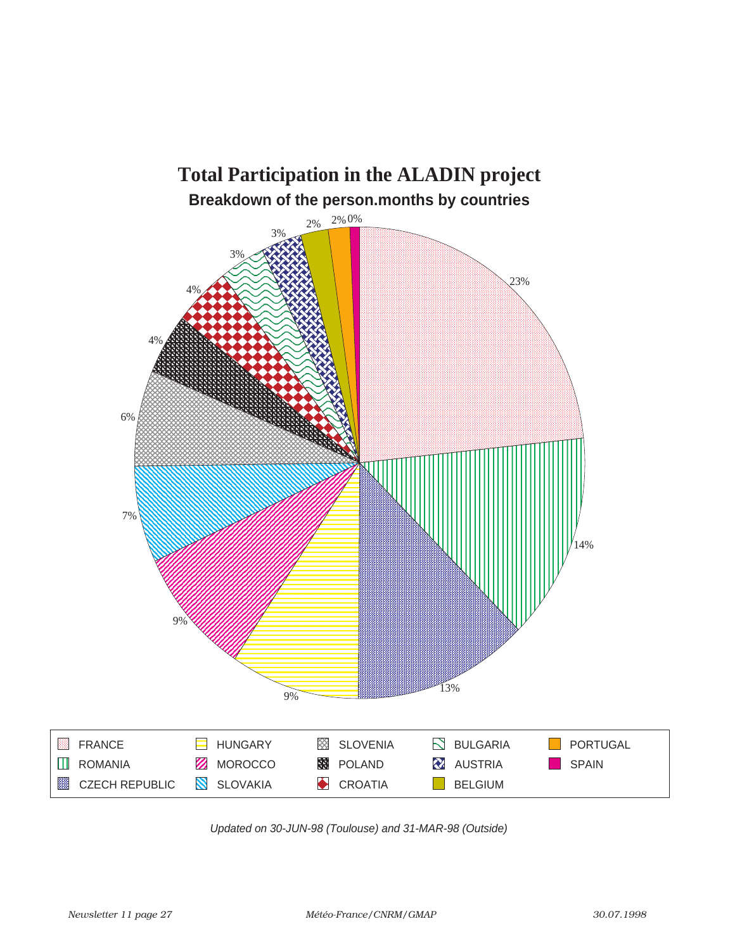![](_page_26_Figure_0.jpeg)

Updated on 30-JUN-98 (Toulouse) and 31-MAR-98 (Outside)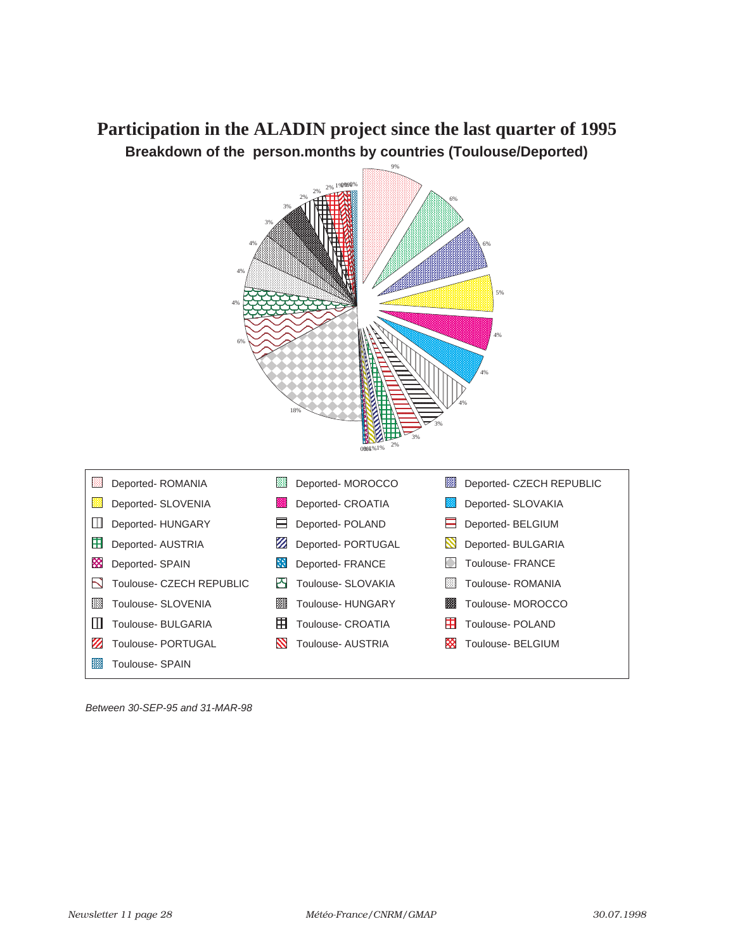# **Participation in the ALADIN project since the last quarter of 1995 Breakdown of the person.months by countries (Toulouse/Deported)**

![](_page_27_Figure_1.jpeg)

Between 30-SEP-95 and 31-MAR-98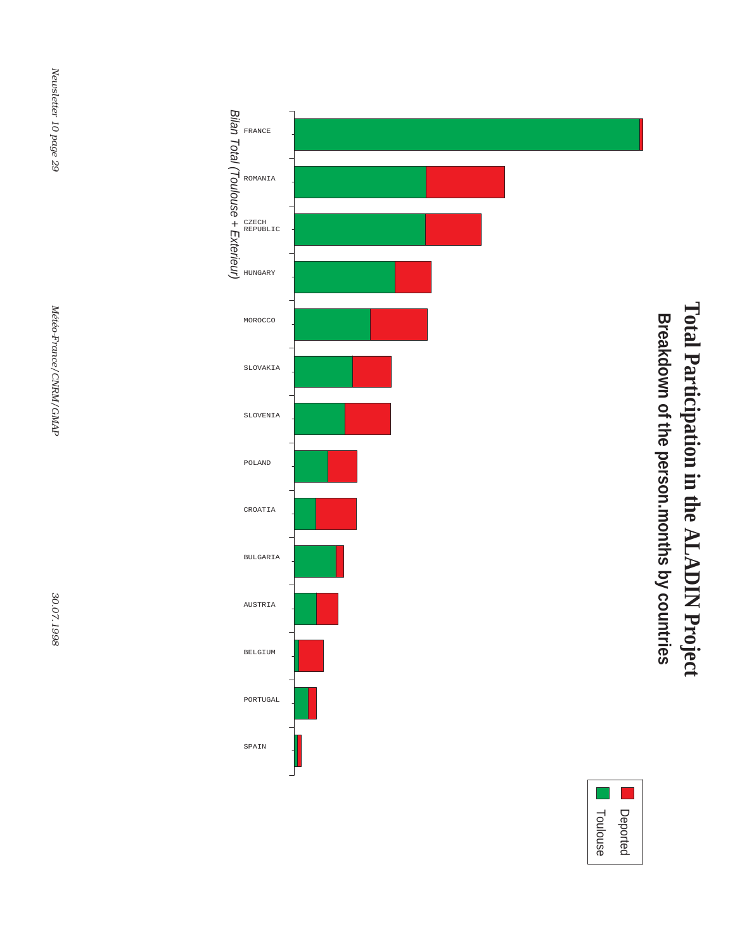Total Participation in the ALADIN Project **Total Participation in the ALADIN Project** Breakdown of the person.months by countries **Breakdown of the person.months by countries**

![](_page_28_Figure_1.jpeg)

![](_page_28_Figure_2.jpeg)

Newsletter 10 page 29 *Newsletter 10 page 29*

Météo-France/CNRM/GMAP *Météo-France/CNRM/GMAP*

30.07.1998 *30.07.1998*